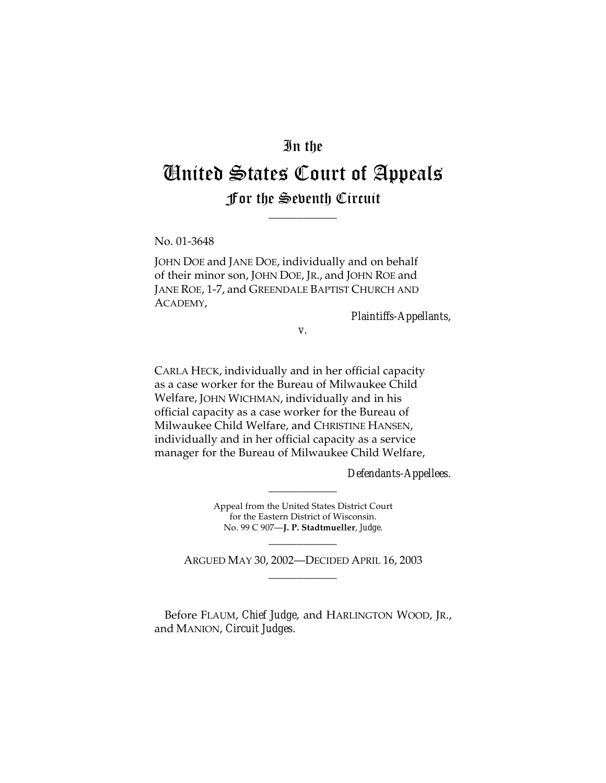# In the

# United States Court of Appeals For the Seventh Circuit \_\_\_\_\_\_\_\_\_\_\_\_

No. 01-3648

JOHN DOE and JANE DOE, individually and on behalf of their minor son, JOHN DOE, JR., and JOHN ROE and JANE ROE, 1-7, and GREENDALE BAPTIST CHURCH AND ACADEMY,

*Plaintiffs-Appellants*,

*v.*

CARLA HECK, individually and in her official capacity as a case worker for the Bureau of Milwaukee Child Welfare, JOHN WICHMAN, individually and in his official capacity as a case worker for the Bureau of Milwaukee Child Welfare, and CHRISTINE HANSEN, individually and in her official capacity as a service manager for the Bureau of Milwaukee Child Welfare,

*Defendants-Appellees.*

Appeal from the United States District Court for the Eastern District of Wisconsin. No. 99 C 907—**J. P. Stadtmueller**, *Judge.*

\_\_\_\_\_\_\_\_\_\_\_\_

\_\_\_\_\_\_\_\_\_\_\_\_

ARGUED MAY 30, 2002—DECIDED APRIL 16, 2003 \_\_\_\_\_\_\_\_\_\_\_\_

Before FLAUM, *Chief Judge*, and HARLINGTON WOOD, JR., and MANION, *Circuit Judges.*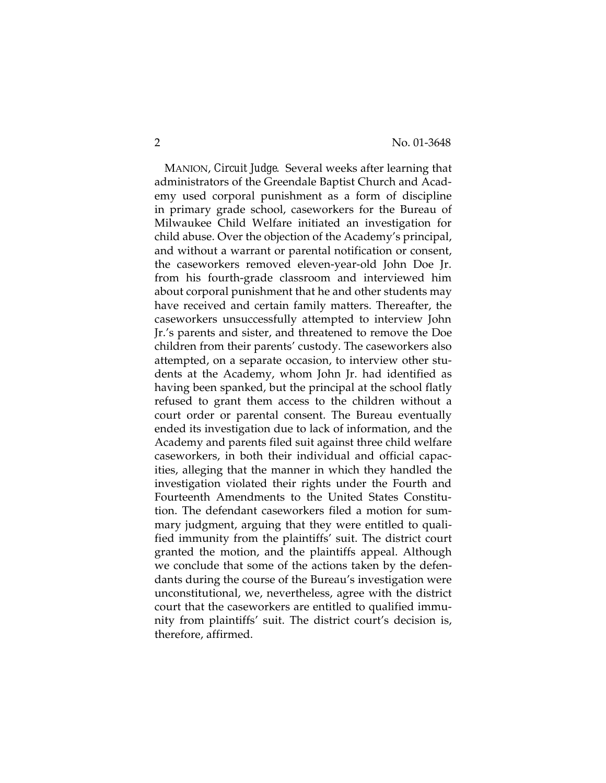MANION, *Circuit Judge*. Several weeks after learning that administrators of the Greendale Baptist Church and Academy used corporal punishment as a form of discipline in primary grade school, caseworkers for the Bureau of Milwaukee Child Welfare initiated an investigation for child abuse. Over the objection of the Academy's principal, and without a warrant or parental notification or consent, the caseworkers removed eleven-year-old John Doe Jr. from his fourth-grade classroom and interviewed him about corporal punishment that he and other students may have received and certain family matters. Thereafter, the caseworkers unsuccessfully attempted to interview John Jr.'s parents and sister, and threatened to remove the Doe children from their parents' custody. The caseworkers also attempted, on a separate occasion, to interview other students at the Academy, whom John Jr. had identified as having been spanked, but the principal at the school flatly refused to grant them access to the children without a court order or parental consent. The Bureau eventually ended its investigation due to lack of information, and the Academy and parents filed suit against three child welfare caseworkers, in both their individual and official capacities, alleging that the manner in which they handled the investigation violated their rights under the Fourth and Fourteenth Amendments to the United States Constitution. The defendant caseworkers filed a motion for summary judgment, arguing that they were entitled to qualified immunity from the plaintiffs' suit. The district court granted the motion, and the plaintiffs appeal. Although we conclude that some of the actions taken by the defendants during the course of the Bureau's investigation were unconstitutional, we, nevertheless, agree with the district court that the caseworkers are entitled to qualified immunity from plaintiffs' suit. The district court's decision is, therefore, affirmed.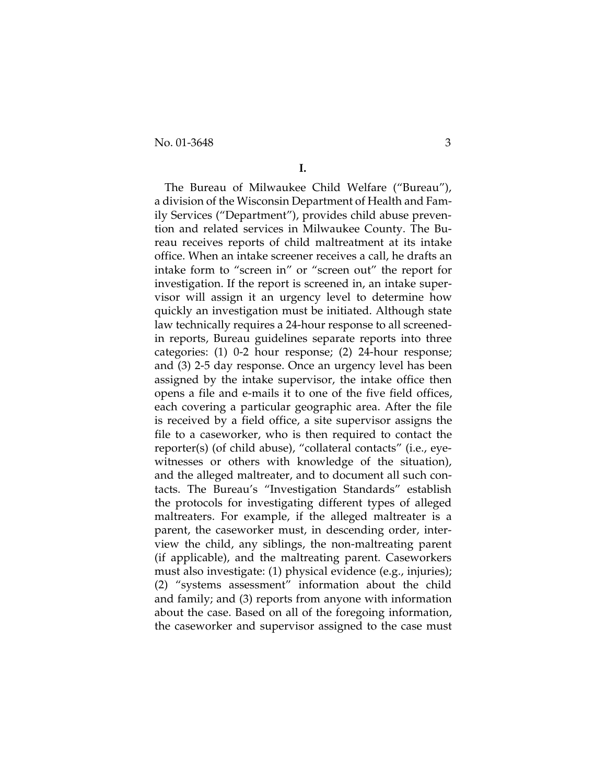No. 01-3648 3

**I.**

The Bureau of Milwaukee Child Welfare ("Bureau"), a division of the Wisconsin Department of Health and Family Services ("Department"), provides child abuse prevention and related services in Milwaukee County. The Bureau receives reports of child maltreatment at its intake office. When an intake screener receives a call, he drafts an intake form to "screen in" or "screen out" the report for investigation. If the report is screened in, an intake supervisor will assign it an urgency level to determine how quickly an investigation must be initiated. Although state law technically requires a 24-hour response to all screenedin reports, Bureau guidelines separate reports into three categories: (1) 0-2 hour response; (2) 24-hour response; and (3) 2-5 day response. Once an urgency level has been assigned by the intake supervisor, the intake office then opens a file and e-mails it to one of the five field offices, each covering a particular geographic area. After the file is received by a field office, a site supervisor assigns the file to a caseworker, who is then required to contact the reporter(s) (of child abuse), "collateral contacts" (i.e., eyewitnesses or others with knowledge of the situation), and the alleged maltreater, and to document all such contacts. The Bureau's "Investigation Standards" establish the protocols for investigating different types of alleged maltreaters. For example, if the alleged maltreater is a parent, the caseworker must, in descending order, interview the child, any siblings, the non-maltreating parent (if applicable), and the maltreating parent. Caseworkers must also investigate: (1) physical evidence (e.g., injuries); (2) "systems assessment" information about the child and family; and (3) reports from anyone with information about the case. Based on all of the foregoing information, the caseworker and supervisor assigned to the case must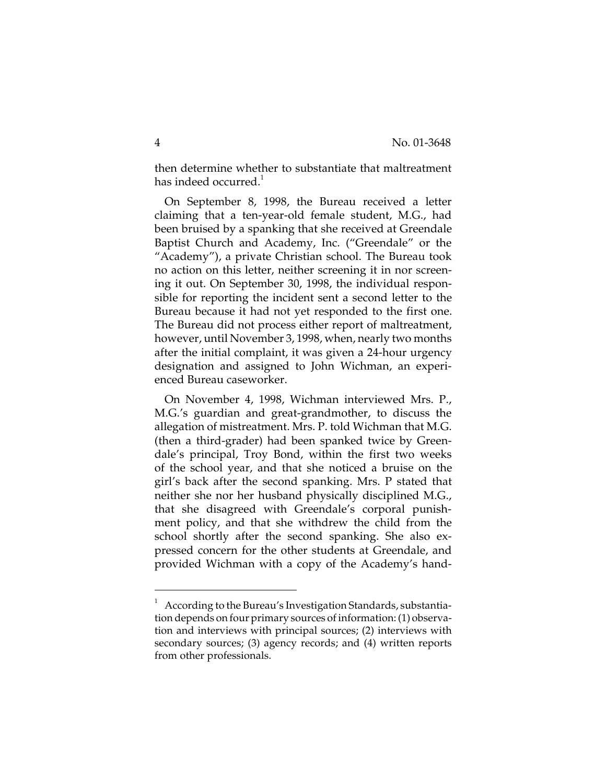then determine whether to substantiate that maltreatment has indeed occurred.<sup>1</sup>

On September 8, 1998, the Bureau received a letter claiming that a ten-year-old female student, M.G., had been bruised by a spanking that she received at Greendale Baptist Church and Academy, Inc. ("Greendale" or the "Academy"), a private Christian school. The Bureau took no action on this letter, neither screening it in nor screening it out. On September 30, 1998, the individual responsible for reporting the incident sent a second letter to the Bureau because it had not yet responded to the first one. The Bureau did not process either report of maltreatment, however, until November 3, 1998, when, nearly two months after the initial complaint, it was given a 24-hour urgency designation and assigned to John Wichman, an experienced Bureau caseworker.

On November 4, 1998, Wichman interviewed Mrs. P., M.G.'s guardian and great-grandmother, to discuss the allegation of mistreatment. Mrs. P. told Wichman that M.G. (then a third-grader) had been spanked twice by Greendale's principal, Troy Bond, within the first two weeks of the school year, and that she noticed a bruise on the girl's back after the second spanking. Mrs. P stated that neither she nor her husband physically disciplined M.G., that she disagreed with Greendale's corporal punishment policy, and that she withdrew the child from the school shortly after the second spanking. She also expressed concern for the other students at Greendale, and provided Wichman with a copy of the Academy's hand-

<sup>1</sup> According to the Bureau's Investigation Standards, substantiation depends on four primary sources of information: (1) observation and interviews with principal sources; (2) interviews with secondary sources; (3) agency records; and (4) written reports from other professionals.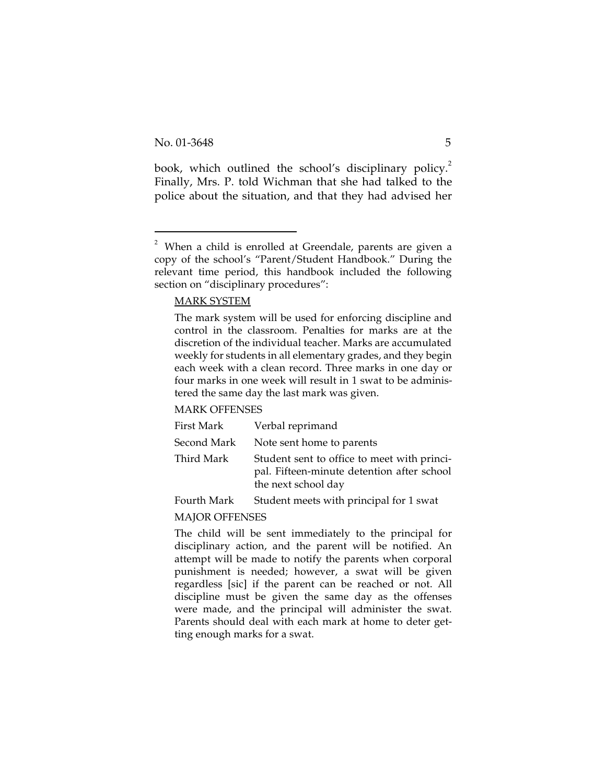book, which outlined the school's disciplinary policy.<sup>2</sup> Finally, Mrs. P. told Wichman that she had talked to the police about the situation, and that they had advised her

#### MARK SYSTEM

The mark system will be used for enforcing discipline and control in the classroom. Penalties for marks are at the discretion of the individual teacher. Marks are accumulated weekly for students in all elementary grades, and they begin each week with a clean record. Three marks in one day or four marks in one week will result in 1 swat to be administered the same day the last mark was given.

#### MARK OFFENSES

| First Mark  | Verbal reprimand                                                                                                 |
|-------------|------------------------------------------------------------------------------------------------------------------|
| Second Mark | Note sent home to parents                                                                                        |
| Third Mark  | Student sent to office to meet with princi-<br>pal. Fifteen-minute detention after school<br>the next school day |

Fourth Mark Student meets with principal for 1 swat

#### MAJOR OFFENSES

The child will be sent immediately to the principal for disciplinary action, and the parent will be notified. An attempt will be made to notify the parents when corporal punishment is needed; however, a swat will be given regardless [sic] if the parent can be reached or not. All discipline must be given the same day as the offenses were made, and the principal will administer the swat. Parents should deal with each mark at home to deter getting enough marks for a swat.

 $2$  When a child is enrolled at Greendale, parents are given a copy of the school's "Parent/Student Handbook." During the relevant time period, this handbook included the following section on "disciplinary procedures":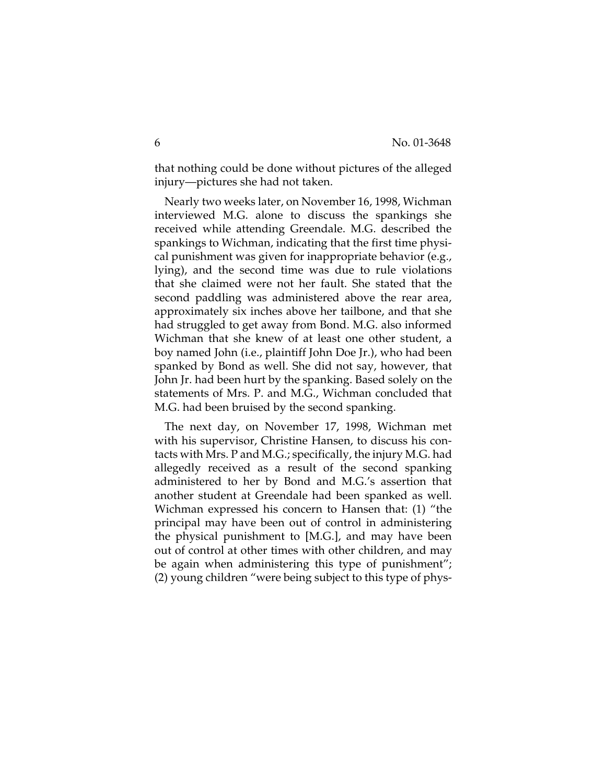that nothing could be done without pictures of the alleged injury—pictures she had not taken.

Nearly two weeks later, on November 16, 1998, Wichman interviewed M.G. alone to discuss the spankings she received while attending Greendale. M.G. described the spankings to Wichman, indicating that the first time physical punishment was given for inappropriate behavior (e.g., lying), and the second time was due to rule violations that she claimed were not her fault. She stated that the second paddling was administered above the rear area, approximately six inches above her tailbone, and that she had struggled to get away from Bond. M.G. also informed Wichman that she knew of at least one other student, a boy named John (i.e., plaintiff John Doe Jr.), who had been spanked by Bond as well. She did not say, however, that John Jr. had been hurt by the spanking. Based solely on the statements of Mrs. P. and M.G., Wichman concluded that M.G. had been bruised by the second spanking.

The next day, on November 17, 1998, Wichman met with his supervisor, Christine Hansen, to discuss his contacts with Mrs. P and M.G.; specifically, the injury M.G. had allegedly received as a result of the second spanking administered to her by Bond and M.G.'s assertion that another student at Greendale had been spanked as well. Wichman expressed his concern to Hansen that: (1) "the principal may have been out of control in administering the physical punishment to [M.G.], and may have been out of control at other times with other children, and may be again when administering this type of punishment"; (2) young children "were being subject to this type of phys-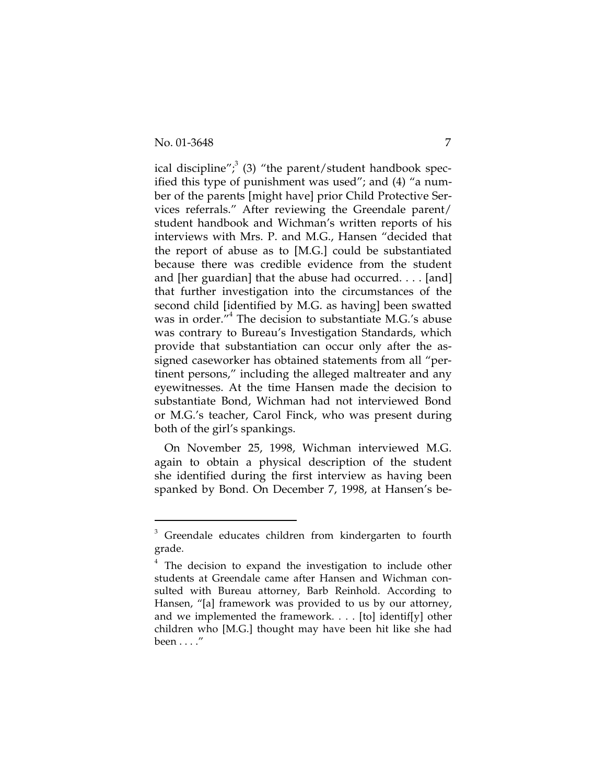ical discipline";<sup>3</sup> (3) "the parent/student handbook specified this type of punishment was used"; and (4) "a number of the parents [might have] prior Child Protective Services referrals." After reviewing the Greendale parent/ student handbook and Wichman's written reports of his interviews with Mrs. P. and M.G., Hansen "decided that the report of abuse as to [M.G.] could be substantiated because there was credible evidence from the student and [her guardian] that the abuse had occurred. . . . [and] that further investigation into the circumstances of the second child [identified by M.G. as having] been swatted was in order."<sup>4</sup> The decision to substantiate M.G.'s abuse was contrary to Bureau's Investigation Standards, which provide that substantiation can occur only after the assigned caseworker has obtained statements from all "pertinent persons," including the alleged maltreater and any eyewitnesses. At the time Hansen made the decision to substantiate Bond, Wichman had not interviewed Bond or M.G.'s teacher, Carol Finck, who was present during both of the girl's spankings.

On November 25, 1998, Wichman interviewed M.G. again to obtain a physical description of the student she identified during the first interview as having been spanked by Bond. On December 7, 1998, at Hansen's be-

 $3$  Greendale educates children from kindergarten to fourth grade.

<sup>&</sup>lt;sup>4</sup> The decision to expand the investigation to include other students at Greendale came after Hansen and Wichman consulted with Bureau attorney, Barb Reinhold. According to Hansen, "[a] framework was provided to us by our attorney, and we implemented the framework. . . . [to] identif[y] other children who [M.G.] thought may have been hit like she had been . . . ."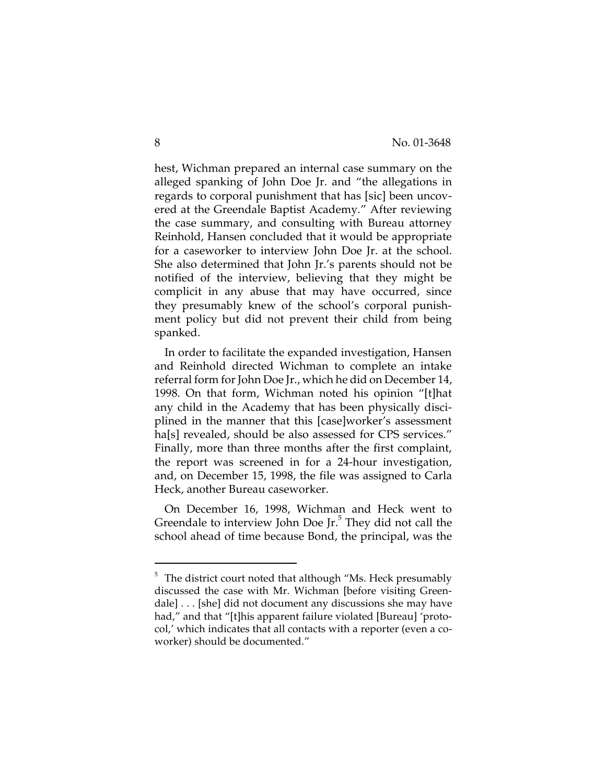hest, Wichman prepared an internal case summary on the alleged spanking of John Doe Jr. and "the allegations in regards to corporal punishment that has [sic] been uncovered at the Greendale Baptist Academy." After reviewing the case summary, and consulting with Bureau attorney Reinhold, Hansen concluded that it would be appropriate for a caseworker to interview John Doe Jr. at the school. She also determined that John Jr.'s parents should not be notified of the interview, believing that they might be complicit in any abuse that may have occurred, since they presumably knew of the school's corporal punishment policy but did not prevent their child from being spanked.

In order to facilitate the expanded investigation, Hansen and Reinhold directed Wichman to complete an intake referral form for John Doe Jr., which he did on December 14, 1998. On that form, Wichman noted his opinion "[t]hat any child in the Academy that has been physically disciplined in the manner that this [case]worker's assessment ha<sup>[s]</sup> revealed, should be also assessed for CPS services." Finally, more than three months after the first complaint, the report was screened in for a 24-hour investigation, and, on December 15, 1998, the file was assigned to Carla Heck, another Bureau caseworker.

On December 16, 1998, Wichman and Heck went to Greendale to interview John Doe Jr. $^5$  They did not call the school ahead of time because Bond, the principal, was the

The district court noted that although "Ms. Heck presumably discussed the case with Mr. Wichman [before visiting Greendale] . . . [she] did not document any discussions she may have had," and that "[t]his apparent failure violated [Bureau] 'protocol,' which indicates that all contacts with a reporter (even a coworker) should be documented."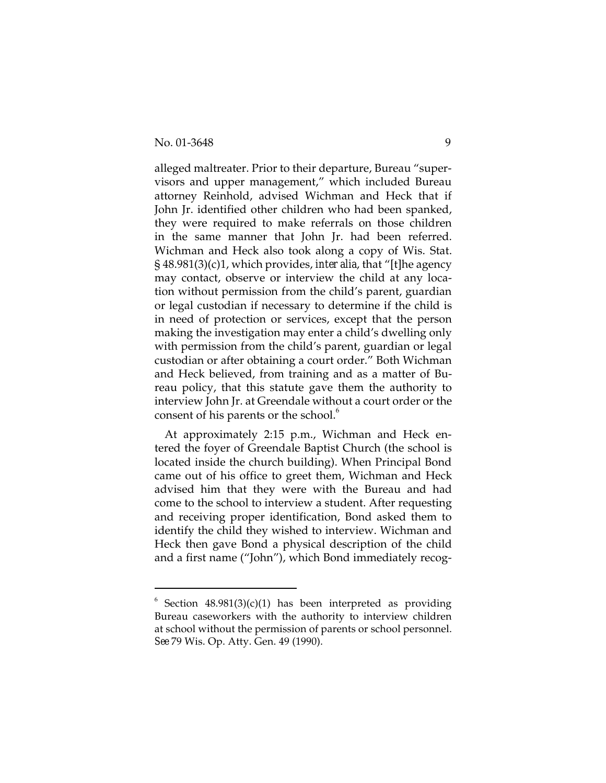alleged maltreater. Prior to their departure, Bureau "supervisors and upper management," which included Bureau attorney Reinhold, advised Wichman and Heck that if John Jr. identified other children who had been spanked, they were required to make referrals on those children in the same manner that John Jr. had been referred. Wichman and Heck also took along a copy of Wis. Stat. § 48.981(3)(c)1, which provides, *inter alia*, that "[t]he agency may contact, observe or interview the child at any location without permission from the child's parent, guardian or legal custodian if necessary to determine if the child is in need of protection or services, except that the person making the investigation may enter a child's dwelling only with permission from the child's parent, guardian or legal custodian or after obtaining a court order." Both Wichman and Heck believed, from training and as a matter of Bureau policy, that this statute gave them the authority to interview John Jr. at Greendale without a court order or the consent of his parents or the school.<sup>6</sup>

At approximately 2:15 p.m., Wichman and Heck entered the foyer of Greendale Baptist Church (the school is located inside the church building). When Principal Bond came out of his office to greet them, Wichman and Heck advised him that they were with the Bureau and had come to the school to interview a student. After requesting and receiving proper identification, Bond asked them to identify the child they wished to interview. Wichman and Heck then gave Bond a physical description of the child and a first name ("John"), which Bond immediately recog-

Section  $48.981(3)(c)(1)$  has been interpreted as providing Bureau caseworkers with the authority to interview children at school without the permission of parents or school personnel. *See* 79 Wis. Op. Atty. Gen. 49 (1990).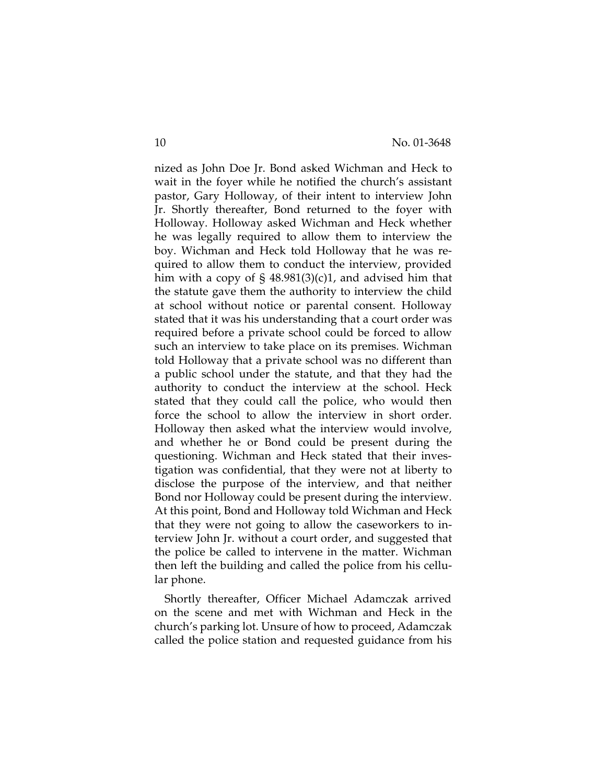nized as John Doe Jr. Bond asked Wichman and Heck to wait in the foyer while he notified the church's assistant pastor, Gary Holloway, of their intent to interview John Jr. Shortly thereafter, Bond returned to the foyer with Holloway. Holloway asked Wichman and Heck whether he was legally required to allow them to interview the boy. Wichman and Heck told Holloway that he was required to allow them to conduct the interview, provided him with a copy of § 48.981(3)(c)1, and advised him that the statute gave them the authority to interview the child at school without notice or parental consent. Holloway stated that it was his understanding that a court order was required before a private school could be forced to allow such an interview to take place on its premises. Wichman told Holloway that a private school was no different than a public school under the statute, and that they had the authority to conduct the interview at the school. Heck stated that they could call the police, who would then force the school to allow the interview in short order. Holloway then asked what the interview would involve, and whether he or Bond could be present during the questioning. Wichman and Heck stated that their investigation was confidential, that they were not at liberty to disclose the purpose of the interview, and that neither Bond nor Holloway could be present during the interview. At this point, Bond and Holloway told Wichman and Heck that they were not going to allow the caseworkers to interview John Jr. without a court order, and suggested that the police be called to intervene in the matter. Wichman then left the building and called the police from his cellular phone.

Shortly thereafter, Officer Michael Adamczak arrived on the scene and met with Wichman and Heck in the church's parking lot. Unsure of how to proceed, Adamczak called the police station and requested guidance from his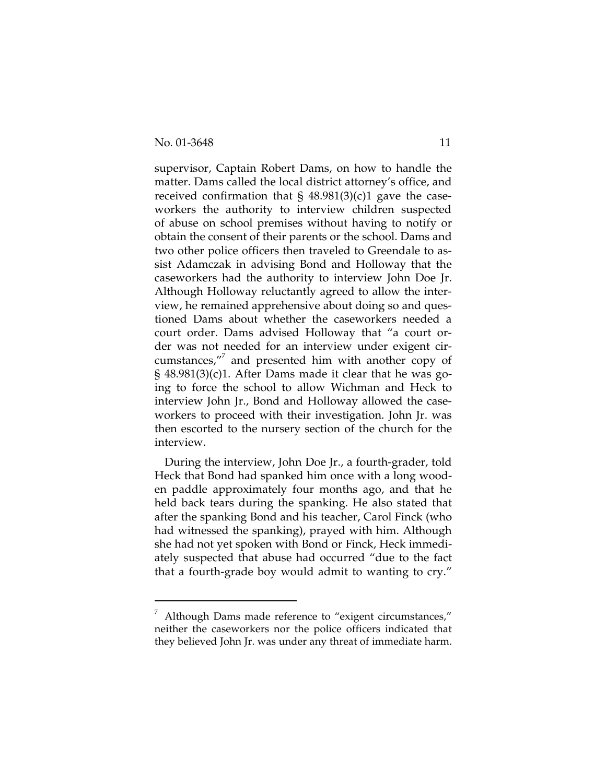supervisor, Captain Robert Dams, on how to handle the matter. Dams called the local district attorney's office, and received confirmation that  $\S$  48.981(3)(c)1 gave the caseworkers the authority to interview children suspected of abuse on school premises without having to notify or obtain the consent of their parents or the school. Dams and two other police officers then traveled to Greendale to assist Adamczak in advising Bond and Holloway that the caseworkers had the authority to interview John Doe Jr. Although Holloway reluctantly agreed to allow the interview, he remained apprehensive about doing so and questioned Dams about whether the caseworkers needed a court order. Dams advised Holloway that "a court order was not needed for an interview under exigent circumstances,"<sup>7</sup> and presented him with another copy of § 48.981(3)(c)1. After Dams made it clear that he was going to force the school to allow Wichman and Heck to interview John Jr., Bond and Holloway allowed the caseworkers to proceed with their investigation. John Jr. was then escorted to the nursery section of the church for the interview.

During the interview, John Doe Jr., a fourth-grader, told Heck that Bond had spanked him once with a long wooden paddle approximately four months ago, and that he held back tears during the spanking. He also stated that after the spanking Bond and his teacher, Carol Finck (who had witnessed the spanking), prayed with him. Although she had not yet spoken with Bond or Finck, Heck immediately suspected that abuse had occurred "due to the fact that a fourth-grade boy would admit to wanting to cry."

Although Dams made reference to "exigent circumstances," neither the caseworkers nor the police officers indicated that they believed John Jr. was under any threat of immediate harm.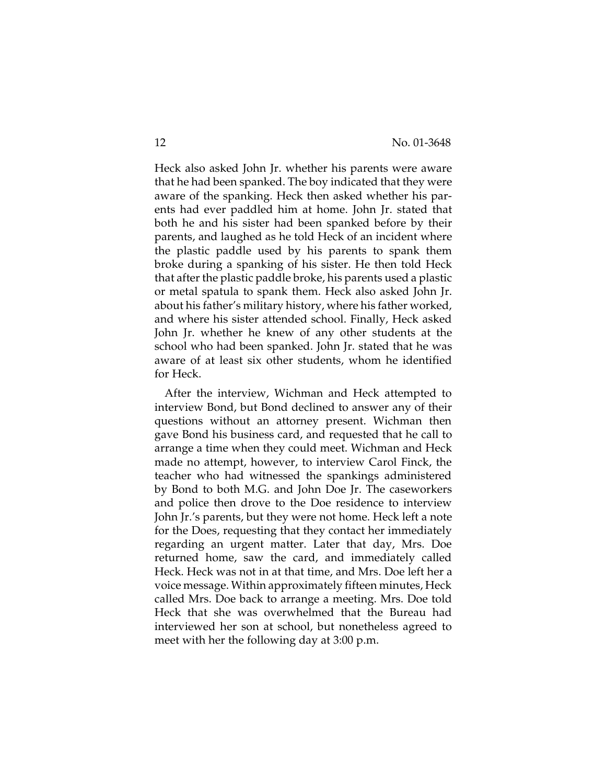Heck also asked John Jr. whether his parents were aware that he had been spanked. The boy indicated that they were aware of the spanking. Heck then asked whether his parents had ever paddled him at home. John Jr. stated that both he and his sister had been spanked before by their parents, and laughed as he told Heck of an incident where the plastic paddle used by his parents to spank them broke during a spanking of his sister. He then told Heck that after the plastic paddle broke, his parents used a plastic or metal spatula to spank them. Heck also asked John Jr. about his father's military history, where his father worked, and where his sister attended school. Finally, Heck asked John Jr. whether he knew of any other students at the school who had been spanked. John Jr. stated that he was aware of at least six other students, whom he identified for Heck.

After the interview, Wichman and Heck attempted to interview Bond, but Bond declined to answer any of their questions without an attorney present. Wichman then gave Bond his business card, and requested that he call to arrange a time when they could meet. Wichman and Heck made no attempt, however, to interview Carol Finck, the teacher who had witnessed the spankings administered by Bond to both M.G. and John Doe Jr. The caseworkers and police then drove to the Doe residence to interview John Jr.'s parents, but they were not home. Heck left a note for the Does, requesting that they contact her immediately regarding an urgent matter. Later that day, Mrs. Doe returned home, saw the card, and immediately called Heck. Heck was not in at that time, and Mrs. Doe left her a voice message. Within approximately fifteen minutes, Heck called Mrs. Doe back to arrange a meeting. Mrs. Doe told Heck that she was overwhelmed that the Bureau had interviewed her son at school, but nonetheless agreed to meet with her the following day at 3:00 p.m.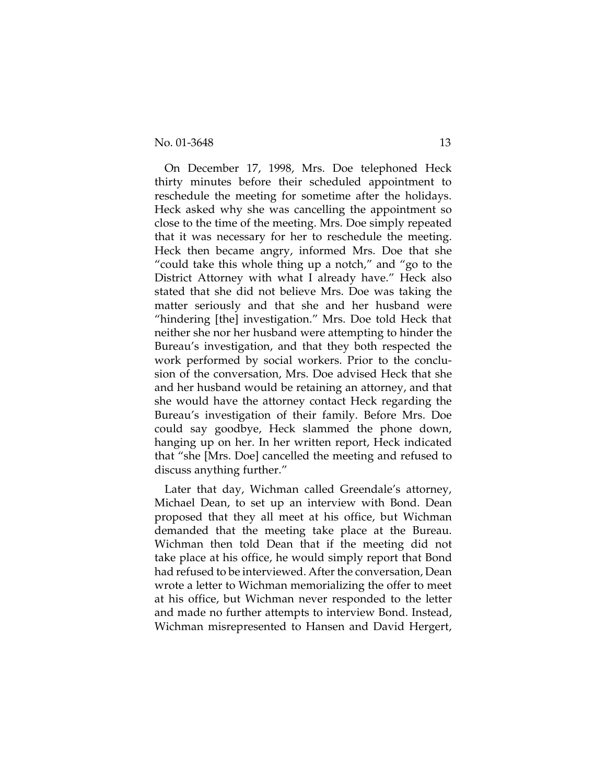On December 17, 1998, Mrs. Doe telephoned Heck thirty minutes before their scheduled appointment to reschedule the meeting for sometime after the holidays. Heck asked why she was cancelling the appointment so close to the time of the meeting. Mrs. Doe simply repeated that it was necessary for her to reschedule the meeting. Heck then became angry, informed Mrs. Doe that she "could take this whole thing up a notch," and "go to the District Attorney with what I already have." Heck also stated that she did not believe Mrs. Doe was taking the matter seriously and that she and her husband were "hindering [the] investigation." Mrs. Doe told Heck that neither she nor her husband were attempting to hinder the Bureau's investigation, and that they both respected the work performed by social workers. Prior to the conclusion of the conversation, Mrs. Doe advised Heck that she and her husband would be retaining an attorney, and that she would have the attorney contact Heck regarding the Bureau's investigation of their family. Before Mrs. Doe could say goodbye, Heck slammed the phone down, hanging up on her. In her written report, Heck indicated that "she [Mrs. Doe] cancelled the meeting and refused to discuss anything further."

Later that day, Wichman called Greendale's attorney, Michael Dean, to set up an interview with Bond. Dean proposed that they all meet at his office, but Wichman demanded that the meeting take place at the Bureau. Wichman then told Dean that if the meeting did not take place at his office, he would simply report that Bond had refused to be interviewed. After the conversation, Dean wrote a letter to Wichman memorializing the offer to meet at his office, but Wichman never responded to the letter and made no further attempts to interview Bond. Instead, Wichman misrepresented to Hansen and David Hergert,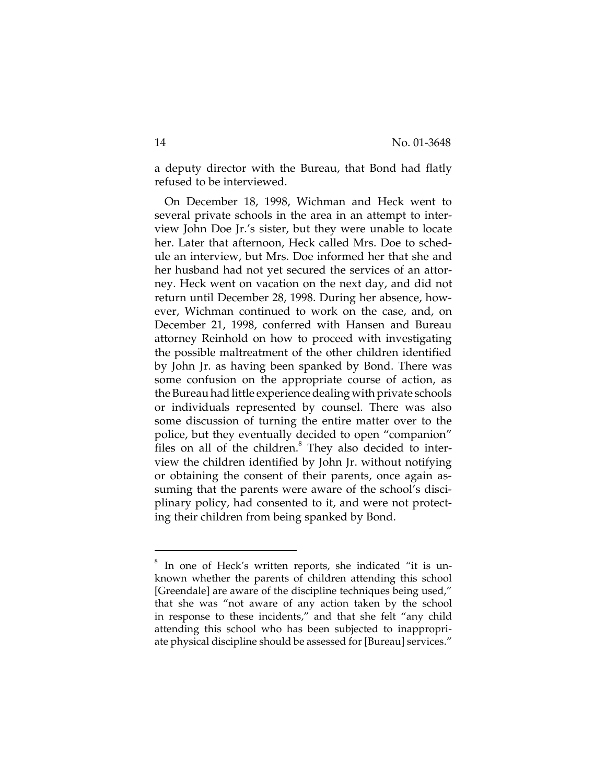a deputy director with the Bureau, that Bond had flatly refused to be interviewed.

On December 18, 1998, Wichman and Heck went to several private schools in the area in an attempt to interview John Doe Jr.'s sister, but they were unable to locate her. Later that afternoon, Heck called Mrs. Doe to schedule an interview, but Mrs. Doe informed her that she and her husband had not yet secured the services of an attorney. Heck went on vacation on the next day, and did not return until December 28, 1998. During her absence, however, Wichman continued to work on the case, and, on December 21, 1998, conferred with Hansen and Bureau attorney Reinhold on how to proceed with investigating the possible maltreatment of the other children identified by John Jr. as having been spanked by Bond. There was some confusion on the appropriate course of action, as the Bureau had little experience dealing with private schools or individuals represented by counsel. There was also some discussion of turning the entire matter over to the police, but they eventually decided to open "companion" files on all of the children.<sup>8</sup> They also decided to interview the children identified by John Jr. without notifying or obtaining the consent of their parents, once again assuming that the parents were aware of the school's disciplinary policy, had consented to it, and were not protecting their children from being spanked by Bond.

 $8$  In one of Heck's written reports, she indicated "it is unknown whether the parents of children attending this school [Greendale] are aware of the discipline techniques being used," that she was "not aware of any action taken by the school in response to these incidents," and that she felt "any child attending this school who has been subjected to inappropriate physical discipline should be assessed for [Bureau] services."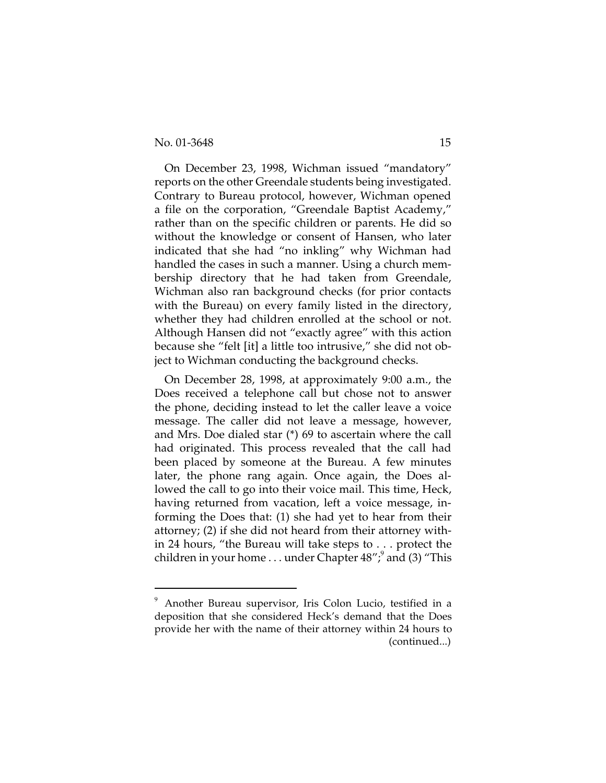On December 23, 1998, Wichman issued "mandatory" reports on the other Greendale students being investigated. Contrary to Bureau protocol, however, Wichman opened a file on the corporation, "Greendale Baptist Academy," rather than on the specific children or parents. He did so without the knowledge or consent of Hansen, who later indicated that she had "no inkling" why Wichman had handled the cases in such a manner. Using a church membership directory that he had taken from Greendale, Wichman also ran background checks (for prior contacts with the Bureau) on every family listed in the directory, whether they had children enrolled at the school or not. Although Hansen did not "exactly agree" with this action because she "felt [it] a little too intrusive," she did not object to Wichman conducting the background checks.

On December 28, 1998, at approximately 9:00 a.m., the Does received a telephone call but chose not to answer the phone, deciding instead to let the caller leave a voice message. The caller did not leave a message, however, and Mrs. Doe dialed star (\*) 69 to ascertain where the call had originated. This process revealed that the call had been placed by someone at the Bureau. A few minutes later, the phone rang again. Once again, the Does allowed the call to go into their voice mail. This time, Heck, having returned from vacation, left a voice message, informing the Does that: (1) she had yet to hear from their attorney; (2) if she did not heard from their attorney within 24 hours, "the Bureau will take steps to . . . protect the children in your home  $\ldots$  under Chapter 48"; $^9$  and (3) "This

Another Bureau supervisor, Iris Colon Lucio, testified in a deposition that she considered Heck's demand that the Does provide her with the name of their attorney within 24 hours to (continued...)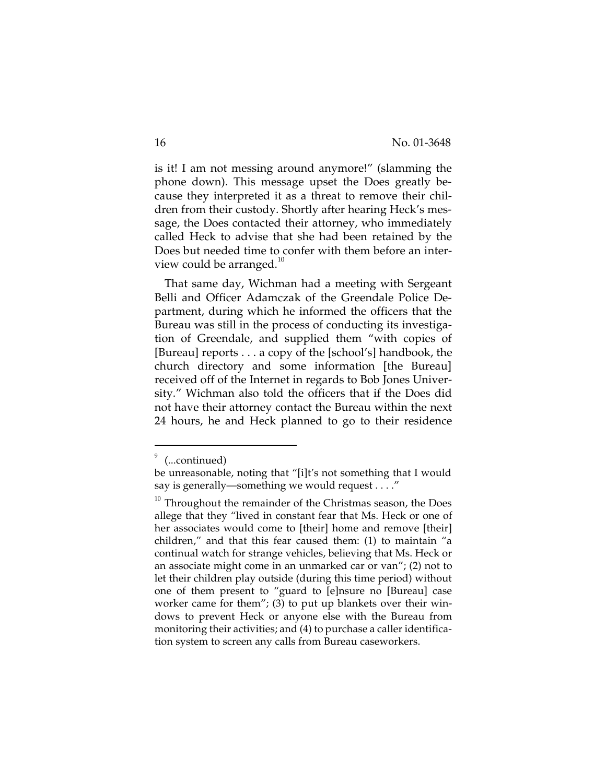is it! I am not messing around anymore!" (slamming the phone down). This message upset the Does greatly because they interpreted it as a threat to remove their children from their custody. Shortly after hearing Heck's message, the Does contacted their attorney, who immediately called Heck to advise that she had been retained by the Does but needed time to confer with them before an interview could be arranged. $^{10}$ 

That same day, Wichman had a meeting with Sergeant Belli and Officer Adamczak of the Greendale Police Department, during which he informed the officers that the Bureau was still in the process of conducting its investigation of Greendale, and supplied them "with copies of [Bureau] reports . . . a copy of the [school's] handbook, the church directory and some information [the Bureau] received off of the Internet in regards to Bob Jones University." Wichman also told the officers that if the Does did not have their attorney contact the Bureau within the next 24 hours, he and Heck planned to go to their residence

 $9$  (...continued)

be unreasonable, noting that "[i]t's not something that I would say is generally—something we would request . . . ."

 $10$  Throughout the remainder of the Christmas season, the Does allege that they "lived in constant fear that Ms. Heck or one of her associates would come to [their] home and remove [their] children," and that this fear caused them: (1) to maintain "a continual watch for strange vehicles, believing that Ms. Heck or an associate might come in an unmarked car or van"; (2) not to let their children play outside (during this time period) without one of them present to "guard to [e]nsure no [Bureau] case worker came for them"; (3) to put up blankets over their windows to prevent Heck or anyone else with the Bureau from monitoring their activities; and (4) to purchase a caller identification system to screen any calls from Bureau caseworkers.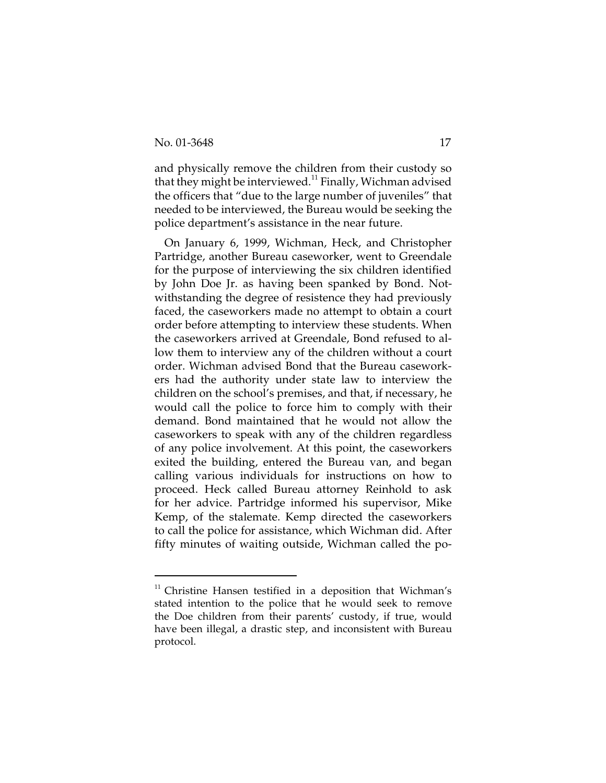and physically remove the children from their custody so that they might be interviewed.<sup>11</sup> Finally, Wichman advised the officers that "due to the large number of juveniles" that needed to be interviewed, the Bureau would be seeking the police department's assistance in the near future.

On January 6, 1999, Wichman, Heck, and Christopher Partridge, another Bureau caseworker, went to Greendale for the purpose of interviewing the six children identified by John Doe Jr. as having been spanked by Bond. Notwithstanding the degree of resistence they had previously faced, the caseworkers made no attempt to obtain a court order before attempting to interview these students. When the caseworkers arrived at Greendale, Bond refused to allow them to interview any of the children without a court order. Wichman advised Bond that the Bureau caseworkers had the authority under state law to interview the children on the school's premises, and that, if necessary, he would call the police to force him to comply with their demand. Bond maintained that he would not allow the caseworkers to speak with any of the children regardless of any police involvement. At this point, the caseworkers exited the building, entered the Bureau van, and began calling various individuals for instructions on how to proceed. Heck called Bureau attorney Reinhold to ask for her advice. Partridge informed his supervisor, Mike Kemp, of the stalemate. Kemp directed the caseworkers to call the police for assistance, which Wichman did. After fifty minutes of waiting outside, Wichman called the po-

 $11$  Christine Hansen testified in a deposition that Wichman's stated intention to the police that he would seek to remove the Doe children from their parents' custody, if true, would have been illegal, a drastic step, and inconsistent with Bureau protocol.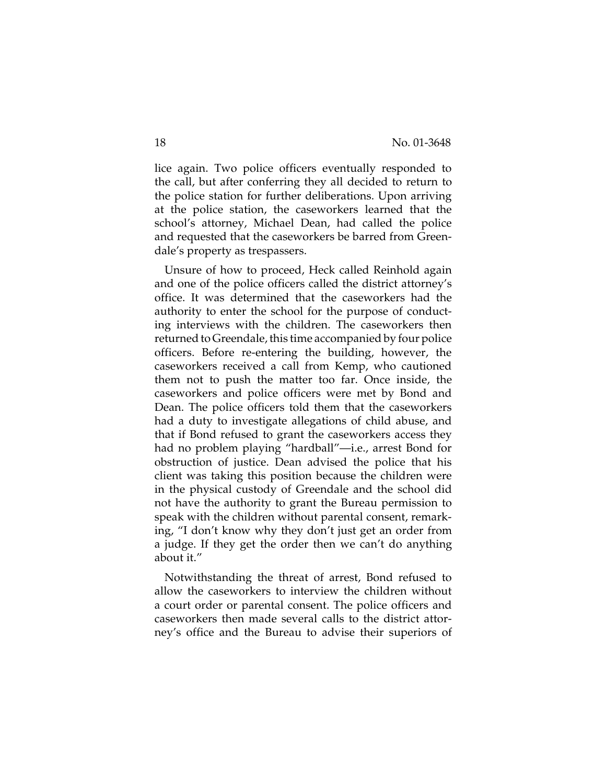lice again. Two police officers eventually responded to the call, but after conferring they all decided to return to the police station for further deliberations. Upon arriving at the police station, the caseworkers learned that the school's attorney, Michael Dean, had called the police and requested that the caseworkers be barred from Greendale's property as trespassers.

Unsure of how to proceed, Heck called Reinhold again and one of the police officers called the district attorney's office. It was determined that the caseworkers had the authority to enter the school for the purpose of conducting interviews with the children. The caseworkers then returned to Greendale, this time accompanied by four police officers. Before re-entering the building, however, the caseworkers received a call from Kemp, who cautioned them not to push the matter too far. Once inside, the caseworkers and police officers were met by Bond and Dean. The police officers told them that the caseworkers had a duty to investigate allegations of child abuse, and that if Bond refused to grant the caseworkers access they had no problem playing "hardball"—i.e., arrest Bond for obstruction of justice. Dean advised the police that his client was taking this position because the children were in the physical custody of Greendale and the school did not have the authority to grant the Bureau permission to speak with the children without parental consent, remarking, "I don't know why they don't just get an order from a judge. If they get the order then we can't do anything about it."

Notwithstanding the threat of arrest, Bond refused to allow the caseworkers to interview the children without a court order or parental consent. The police officers and caseworkers then made several calls to the district attorney's office and the Bureau to advise their superiors of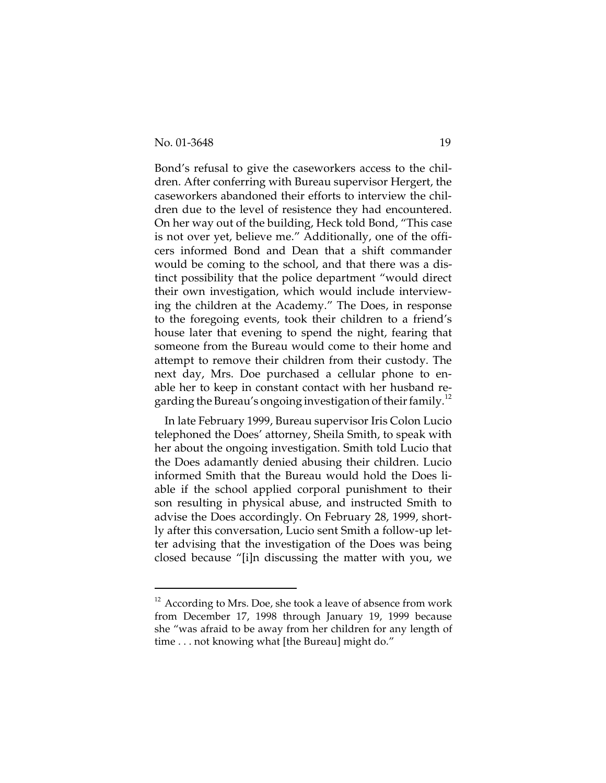Bond's refusal to give the caseworkers access to the children. After conferring with Bureau supervisor Hergert, the caseworkers abandoned their efforts to interview the children due to the level of resistence they had encountered. On her way out of the building, Heck told Bond, "This case is not over yet, believe me." Additionally, one of the officers informed Bond and Dean that a shift commander would be coming to the school, and that there was a distinct possibility that the police department "would direct their own investigation, which would include interviewing the children at the Academy." The Does, in response to the foregoing events, took their children to a friend's house later that evening to spend the night, fearing that someone from the Bureau would come to their home and attempt to remove their children from their custody. The next day, Mrs. Doe purchased a cellular phone to enable her to keep in constant contact with her husband regarding the Bureau's ongoing investigation of their family.<sup>12</sup>

In late February 1999, Bureau supervisor Iris Colon Lucio telephoned the Does' attorney, Sheila Smith, to speak with her about the ongoing investigation. Smith told Lucio that the Does adamantly denied abusing their children. Lucio informed Smith that the Bureau would hold the Does liable if the school applied corporal punishment to their son resulting in physical abuse, and instructed Smith to advise the Does accordingly. On February 28, 1999, shortly after this conversation, Lucio sent Smith a follow-up letter advising that the investigation of the Does was being closed because "[i]n discussing the matter with you, we

 $12$  According to Mrs. Doe, she took a leave of absence from work from December 17, 1998 through January 19, 1999 because she "was afraid to be away from her children for any length of time . . . not knowing what [the Bureau] might do."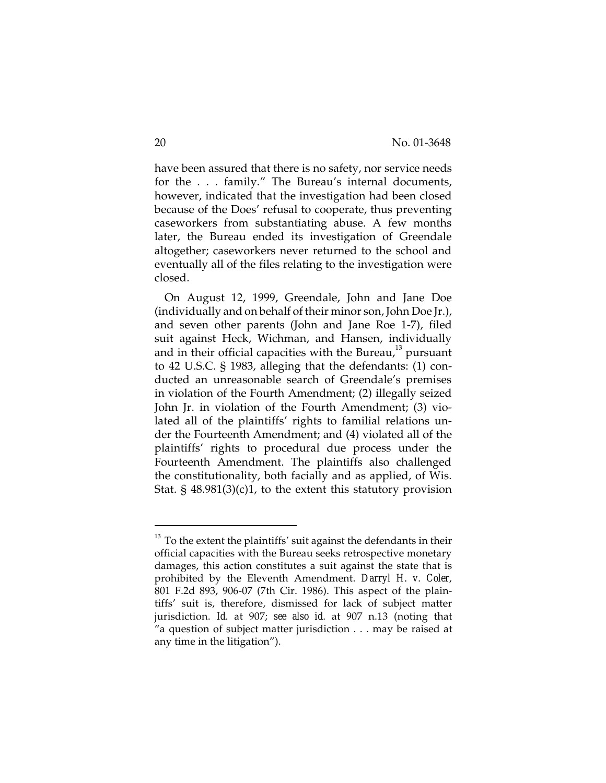have been assured that there is no safety, nor service needs for the . . . family." The Bureau's internal documents, however, indicated that the investigation had been closed because of the Does' refusal to cooperate, thus preventing caseworkers from substantiating abuse. A few months later, the Bureau ended its investigation of Greendale altogether; caseworkers never returned to the school and eventually all of the files relating to the investigation were closed.

On August 12, 1999, Greendale, John and Jane Doe (individually and on behalf of their minor son, John Doe Jr.), and seven other parents (John and Jane Roe 1-7), filed suit against Heck, Wichman, and Hansen, individually and in their official capacities with the Bureau, $13$  pursuant to 42 U.S.C. § 1983, alleging that the defendants: (1) conducted an unreasonable search of Greendale's premises in violation of the Fourth Amendment; (2) illegally seized John Jr. in violation of the Fourth Amendment; (3) violated all of the plaintiffs' rights to familial relations under the Fourteenth Amendment; and (4) violated all of the plaintiffs' rights to procedural due process under the Fourteenth Amendment. The plaintiffs also challenged the constitutionality, both facially and as applied, of Wis. Stat. § 48.981(3)(c)1, to the extent this statutory provision

 $^{13}$  To the extent the plaintiffs' suit against the defendants in their official capacities with the Bureau seeks retrospective monetary damages, this action constitutes a suit against the state that is prohibited by the Eleventh Amendment. *Darryl H. v. Coler*, 801 F.2d 893, 906-07 (7th Cir. 1986). This aspect of the plaintiffs' suit is, therefore, dismissed for lack of subject matter jurisdiction. *Id.* at 907; *see also id.* at 907 n.13 (noting that "a question of subject matter jurisdiction . . . may be raised at any time in the litigation").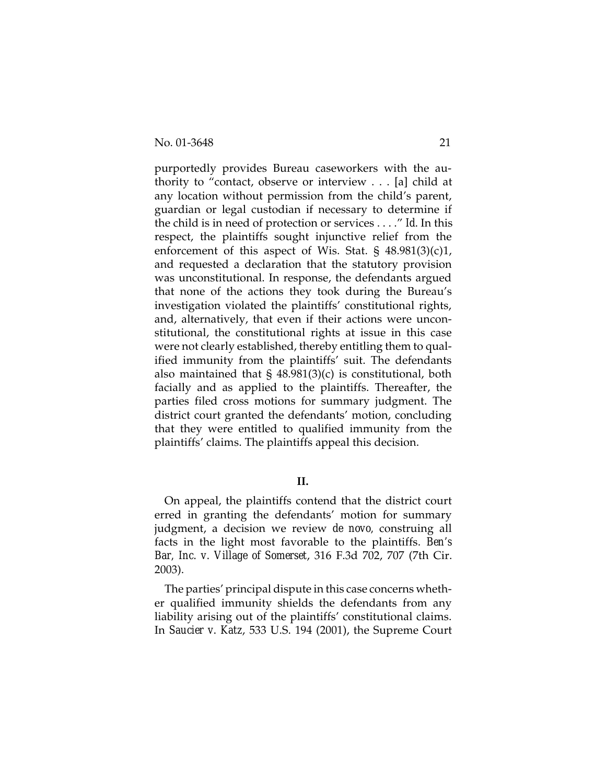No. 01-3648 21

purportedly provides Bureau caseworkers with the authority to "contact, observe or interview . . . [a] child at any location without permission from the child's parent, guardian or legal custodian if necessary to determine if the child is in need of protection or services . . . ." *Id.* In this respect, the plaintiffs sought injunctive relief from the enforcement of this aspect of Wis. Stat.  $\S$  48.981(3)(c)1, and requested a declaration that the statutory provision was unconstitutional. In response, the defendants argued that none of the actions they took during the Bureau's investigation violated the plaintiffs' constitutional rights, and, alternatively, that even if their actions were unconstitutional, the constitutional rights at issue in this case were not clearly established, thereby entitling them to qualified immunity from the plaintiffs' suit. The defendants also maintained that  $\S$  48.981(3)(c) is constitutional, both facially and as applied to the plaintiffs. Thereafter, the parties filed cross motions for summary judgment. The district court granted the defendants' motion, concluding that they were entitled to qualified immunity from the plaintiffs' claims. The plaintiffs appeal this decision.

# **II.**

On appeal, the plaintiffs contend that the district court erred in granting the defendants' motion for summary judgment, a decision we review *de novo,* construing all facts in the light most favorable to the plaintiffs. *Ben's Bar, Inc. v. Village of Somerset*, 316 F.3d 702, 707 (7th Cir. 2003).

The parties' principal dispute in this case concerns whether qualified immunity shields the defendants from any liability arising out of the plaintiffs' constitutional claims. In *Saucier v. Katz*, 533 U.S. 194 (2001), the Supreme Court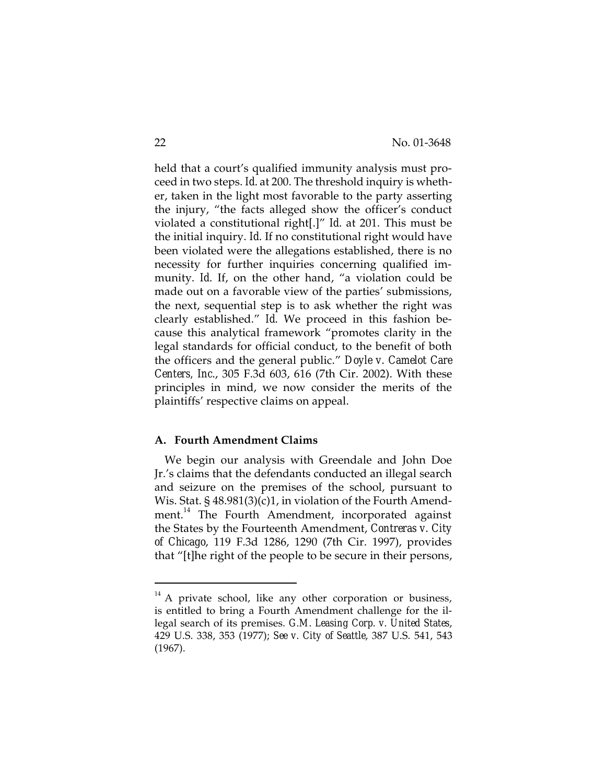held that a court's qualified immunity analysis must proceed in two steps. *Id.* at 200. The threshold inquiry is whether, taken in the light most favorable to the party asserting the injury, "the facts alleged show the officer's conduct violated a constitutional right[.]" *Id.* at 201. This must be the initial inquiry. *Id.* If no constitutional right would have been violated were the allegations established, there is no necessity for further inquiries concerning qualified immunity. *Id.* If, on the other hand, "a violation could be made out on a favorable view of the parties' submissions, the next, sequential step is to ask whether the right was clearly established." *Id.* We proceed in this fashion because this analytical framework "promotes clarity in the legal standards for official conduct, to the benefit of both the officers and the general public." *Doyle v. Camelot Care Centers, Inc.*, 305 F.3d 603, 616 (7th Cir. 2002). With these principles in mind, we now consider the merits of the plaintiffs' respective claims on appeal.

#### **A. Fourth Amendment Claims**

We begin our analysis with Greendale and John Doe Jr.'s claims that the defendants conducted an illegal search and seizure on the premises of the school, pursuant to Wis. Stat. § 48.981(3)(c)1, in violation of the Fourth Amendment.<sup>14</sup> The Fourth Amendment, incorporated against the States by the Fourteenth Amendment, *Contreras v. City of Chicago*, 119 F.3d 1286, 1290 (7th Cir. 1997), provides that "[t]he right of the people to be secure in their persons,

 $14$  A private school, like any other corporation or business, is entitled to bring a Fourth Amendment challenge for the illegal search of its premises. *G.M. Leasing Corp. v. United States*, 429 U.S. 338, 353 (1977); *See v. City of Seattle*, 387 U.S. 541, 543 (1967).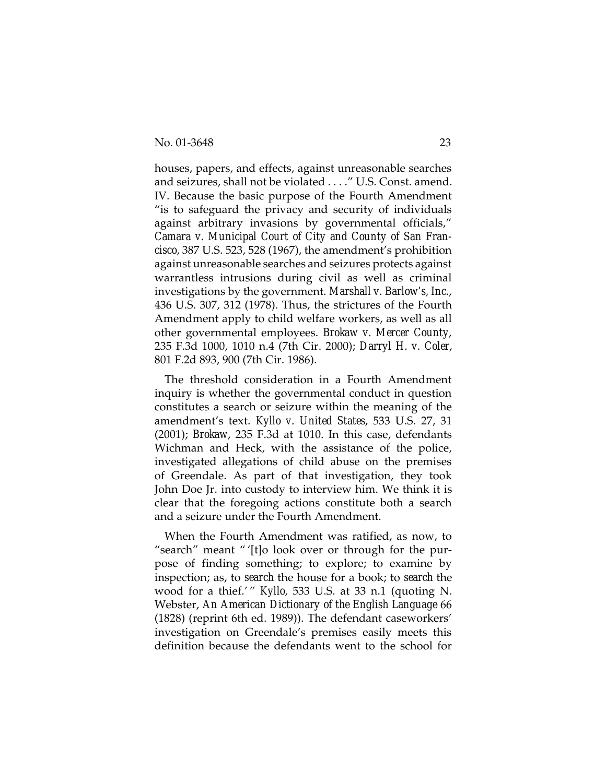houses, papers, and effects, against unreasonable searches and seizures, shall not be violated . . . ." U.S. Const. amend. IV. Because the basic purpose of the Fourth Amendment "is to safeguard the privacy and security of individuals against arbitrary invasions by governmental officials," *Camara v. Municipal Court of City and County of San Francisco*, 387 U.S. 523, 528 (1967), the amendment's prohibition against unreasonable searches and seizures protects against warrantless intrusions during civil as well as criminal investigations by the government. *Marshall v. Barlow's, Inc.*, 436 U.S. 307, 312 (1978). Thus, the strictures of the Fourth Amendment apply to child welfare workers, as well as all other governmental employees. *Brokaw v. Mercer County*, 235 F.3d 1000, 1010 n.4 (7th Cir. 2000); *Darryl H. v. Coler*, 801 F.2d 893, 900 (7th Cir. 1986).

The threshold consideration in a Fourth Amendment inquiry is whether the governmental conduct in question constitutes a search or seizure within the meaning of the amendment's text. *Kyllo v. United States*, 533 U.S. 27, 31 (2001); *Brokaw*, 235 F.3d at 1010. In this case, defendants Wichman and Heck, with the assistance of the police, investigated allegations of child abuse on the premises of Greendale. As part of that investigation, they took John Doe Jr. into custody to interview him. We think it is clear that the foregoing actions constitute both a search and a seizure under the Fourth Amendment.

When the Fourth Amendment was ratified, as now, to "search" meant " '[t]o look over or through for the purpose of finding something; to explore; to examine by inspection; as, to *search* the house for a book; to *search* the wood for a thief.' " *Kyllo*, 533 U.S. at 33 n.1 (quoting N. Webster, *An American Dictionary of the English Language* 66 (1828) (reprint 6th ed. 1989)). The defendant caseworkers' investigation on Greendale's premises easily meets this definition because the defendants went to the school for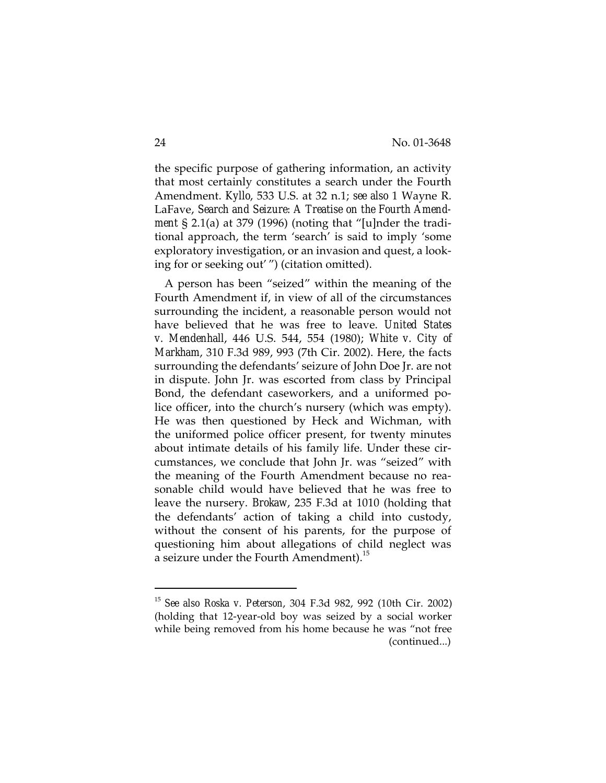the specific purpose of gathering information, an activity that most certainly constitutes a search under the Fourth Amendment. *Kyllo*, 533 U.S. at 32 n.1; *see also* 1 Wayne R. LaFave, *Search and Seizure: A Treatise on the Fourth Amendment* § 2.1(a) at 379 (1996) (noting that "[u]nder the traditional approach, the term 'search' is said to imply 'some exploratory investigation, or an invasion and quest, a looking for or seeking out' ") (citation omitted).

A person has been "seized" within the meaning of the Fourth Amendment if, in view of all of the circumstances surrounding the incident, a reasonable person would not have believed that he was free to leave. *United States v. Mendenhall*, 446 U.S. 544, 554 (1980); *White v. City of Markham*, 310 F.3d 989, 993 (7th Cir. 2002). Here, the facts surrounding the defendants' seizure of John Doe Jr. are not in dispute. John Jr. was escorted from class by Principal Bond, the defendant caseworkers, and a uniformed police officer, into the church's nursery (which was empty). He was then questioned by Heck and Wichman, with the uniformed police officer present, for twenty minutes about intimate details of his family life. Under these circumstances, we conclude that John Jr. was "seized" with the meaning of the Fourth Amendment because no reasonable child would have believed that he was free to leave the nursery. *Brokaw*, 235 F.3d at 1010 (holding that the defendants' action of taking a child into custody, without the consent of his parents, for the purpose of questioning him about allegations of child neglect was a seizure under the Fourth Amendment).<sup>15</sup>

<sup>15</sup> *See also Roska v. Peterson*, 304 F.3d 982, 992 (10th Cir. 2002) (holding that 12-year-old boy was seized by a social worker while being removed from his home because he was "not free (continued...)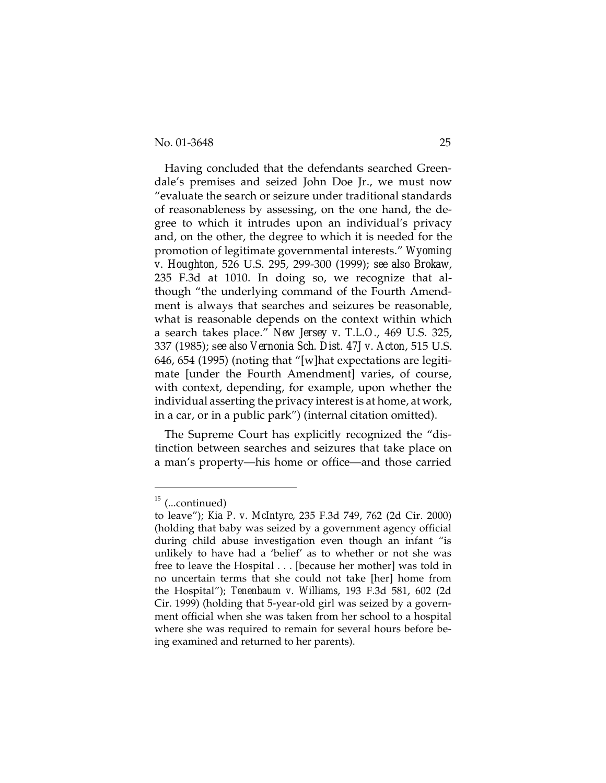Having concluded that the defendants searched Greendale's premises and seized John Doe Jr., we must now "evaluate the search or seizure under traditional standards of reasonableness by assessing, on the one hand, the degree to which it intrudes upon an individual's privacy and, on the other, the degree to which it is needed for the promotion of legitimate governmental interests." *Wyoming v. Houghton*, 526 U.S. 295, 299-300 (1999); *see also Brokaw*, 235 F.3d at 1010. In doing so, we recognize that although "the underlying command of the Fourth Amendment is always that searches and seizures be reasonable, what is reasonable depends on the context within which a search takes place." *New Jersey v. T.L.O.*, 469 U.S. 325, 337 (1985); s*ee also Vernonia Sch. Dist. 47J v. Acton*, 515 U.S. 646, 654 (1995) (noting that "[w]hat expectations are legitimate [under the Fourth Amendment] varies, of course, with context, depending, for example, upon whether the individual asserting the privacy interest is at home, at work, in a car, or in a public park") (internal citation omitted).

The Supreme Court has explicitly recognized the "distinction between searches and seizures that take place on a man's property—his home or office—and those carried

 $15$  (...continued)

to leave"); *Kia P. v. McIntyre*, 235 F.3d 749, 762 (2d Cir. 2000) (holding that baby was seized by a government agency official during child abuse investigation even though an infant "is unlikely to have had a 'belief' as to whether or not she was free to leave the Hospital . . . [because her mother] was told in no uncertain terms that she could not take [her] home from the Hospital")*; Tenenbaum v. Williams*, 193 F.3d 581, 602 (2d Cir. 1999) (holding that 5-year-old girl was seized by a government official when she was taken from her school to a hospital where she was required to remain for several hours before being examined and returned to her parents).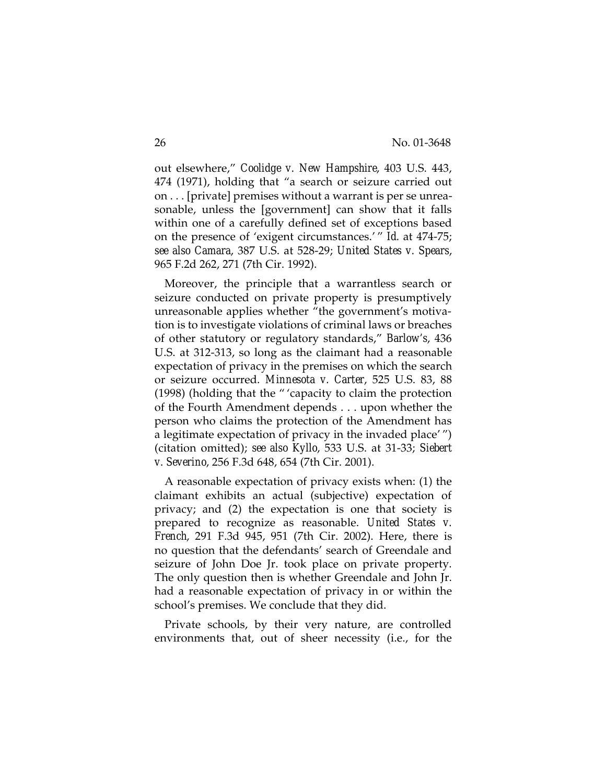out elsewhere," *Coolidge v. New Hampshire*, 403 U.S. 443, 474 (1971), holding that "a search or seizure carried out on . . . [private] premises without a warrant is per se unreasonable, unless the [government] can show that it falls within one of a carefully defined set of exceptions based on the presence of 'exigent circumstances.' " *Id.* at 474-75; *see also Camara*, 387 U.S. at 528-29; *United States v. Spears*, 965 F.2d 262, 271 (7th Cir. 1992).

Moreover, the principle that a warrantless search or seizure conducted on private property is presumptively unreasonable applies whether "the government's motivation is to investigate violations of criminal laws or breaches of other statutory or regulatory standards," *Barlow's*, 436 U.S. at 312-313, so long as the claimant had a reasonable expectation of privacy in the premises on which the search or seizure occurred. *Minnesota v. Carter*, 525 U.S. 83, 88 (1998) (holding that the " 'capacity to claim the protection of the Fourth Amendment depends . . . upon whether the person who claims the protection of the Amendment has a legitimate expectation of privacy in the invaded place' ") (citation omitted); *see also Kyllo*, 533 U.S. at 31-33; *Siebert v. Severino*, 256 F.3d 648, 654 (7th Cir. 2001).

A reasonable expectation of privacy exists when: (1) the claimant exhibits an actual (subjective) expectation of privacy; and (2) the expectation is one that society is prepared to recognize as reasonable. *United States v. French*, 291 F.3d 945, 951 (7th Cir. 2002). Here, there is no question that the defendants' search of Greendale and seizure of John Doe Jr. took place on private property. The only question then is whether Greendale and John Jr. had a reasonable expectation of privacy in or within the school's premises. We conclude that they did.

Private schools, by their very nature, are controlled environments that, out of sheer necessity (i.e., for the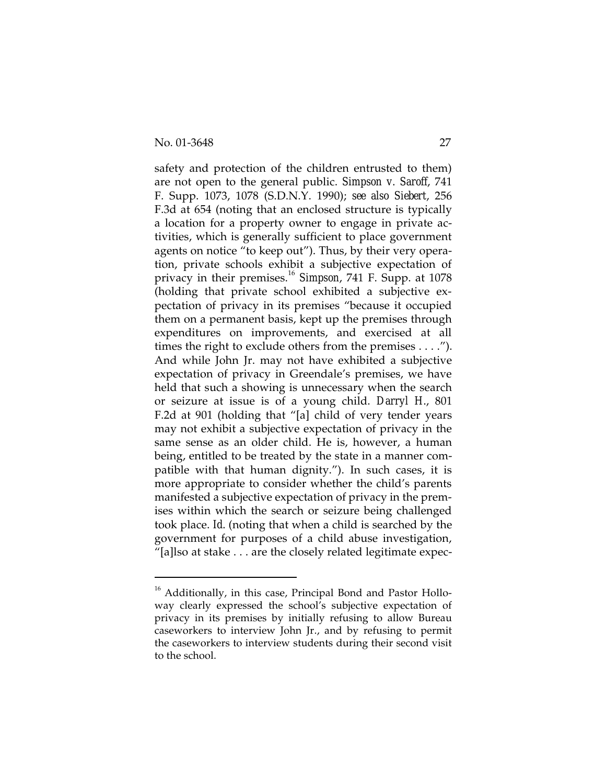safety and protection of the children entrusted to them) are not open to the general public. *Simpson v. Saroff*, 741 F. Supp. 1073, 1078 (S.D.N.Y. 1990); *see also Siebert*, 256 F.3d at 654 (noting that an enclosed structure is typically a location for a property owner to engage in private activities, which is generally sufficient to place government agents on notice "to keep out"). Thus, by their very operation, private schools exhibit a subjective expectation of privacy in their premises.<sup>16</sup> *Simpson*, 741 F. Supp. at 1078 (holding that private school exhibited a subjective expectation of privacy in its premises "because it occupied them on a permanent basis, kept up the premises through expenditures on improvements, and exercised at all times the right to exclude others from the premises . . . ."). And while John Jr. may not have exhibited a subjective expectation of privacy in Greendale's premises, we have held that such a showing is unnecessary when the search or seizure at issue is of a young child. *Darryl H.*, 801 F.2d at 901 (holding that "[a] child of very tender years may not exhibit a subjective expectation of privacy in the same sense as an older child. He is, however, a human being, entitled to be treated by the state in a manner compatible with that human dignity."). In such cases, it is more appropriate to consider whether the child's parents manifested a subjective expectation of privacy in the premises within which the search or seizure being challenged took place. *Id.* (noting that when a child is searched by the government for purposes of a child abuse investigation, "[a]lso at stake . . . are the closely related legitimate expec-

<sup>&</sup>lt;sup>16</sup> Additionally, in this case, Principal Bond and Pastor Holloway clearly expressed the school's subjective expectation of privacy in its premises by initially refusing to allow Bureau caseworkers to interview John Jr., and by refusing to permit the caseworkers to interview students during their second visit to the school.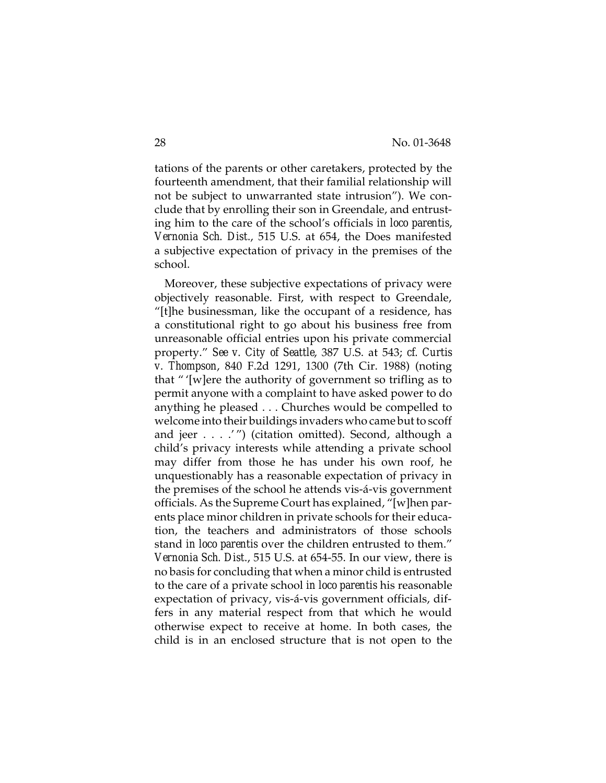tations of the parents or other caretakers, protected by the fourteenth amendment, that their familial relationship will not be subject to unwarranted state intrusion"). We conclude that by enrolling their son in Greendale, and entrusting him to the care of the school's officials *in loco parentis*, *Vernonia Sch. Dist.*, 515 U.S. at 654, the Does manifested a subjective expectation of privacy in the premises of the school.

Moreover, these subjective expectations of privacy were objectively reasonable. First, with respect to Greendale, "[t]he businessman, like the occupant of a residence, has a constitutional right to go about his business free from unreasonable official entries upon his private commercial property." *See v. City of Seattle*, 387 U.S. at 543; *cf. Curtis v. Thompson*, 840 F.2d 1291, 1300 (7th Cir. 1988) (noting that " '[w]ere the authority of government so trifling as to permit anyone with a complaint to have asked power to do anything he pleased . . . Churches would be compelled to welcome into their buildings invaders who came but to scoff and jeer . . . .'") (citation omitted). Second, although a child's privacy interests while attending a private school may differ from those he has under his own roof, he unquestionably has a reasonable expectation of privacy in the premises of the school he attends vis-á-vis government officials. As the Supreme Court has explained, "[w]hen parents place minor children in private schools for their education, the teachers and administrators of those schools stand *in loco parentis* over the children entrusted to them." *Vernonia Sch. Dist.*, 515 U.S. at 654-55. In our view, there is no basis for concluding that when a minor child is entrusted to the care of a private school *in loco parentis* his reasonable expectation of privacy, vis-á-vis government officials, differs in any material respect from that which he would otherwise expect to receive at home. In both cases, the child is in an enclosed structure that is not open to the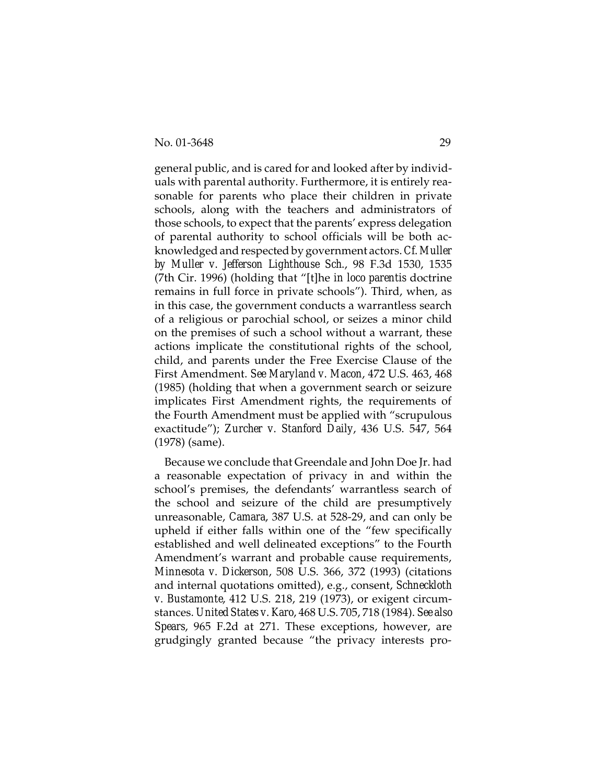general public, and is cared for and looked after by individuals with parental authority. Furthermore, it is entirely reasonable for parents who place their children in private schools, along with the teachers and administrators of those schools, to expect that the parents' express delegation of parental authority to school officials will be both acknowledged and respected by government actors. *Cf. Muller by Muller v. Jefferson Lighthouse Sch.*, 98 F.3d 1530, 1535 (7th Cir. 1996) (holding that "[t]he *in loco parentis* doctrine remains in full force in private schools"). Third, when, as in this case, the government conducts a warrantless search of a religious or parochial school, or seizes a minor child on the premises of such a school without a warrant, these actions implicate the constitutional rights of the school, child, and parents under the Free Exercise Clause of the First Amendment. *See Maryland v. Macon*, 472 U.S. 463, 468 (1985) (holding that when a government search or seizure implicates First Amendment rights, the requirements of the Fourth Amendment must be applied with "scrupulous exactitude"); *Zurcher v. Stanford Daily*, 436 U.S. 547, 564 (1978) (same).

Because we conclude that Greendale and John Doe Jr. had a reasonable expectation of privacy in and within the school's premises, the defendants' warrantless search of the school and seizure of the child are presumptively unreasonable, *Camara*, 387 U.S. at 528-29, and can only be upheld if either falls within one of the "few specifically established and well delineated exceptions" to the Fourth Amendment's warrant and probable cause requirements, *Minnesota v. Dickerson*, 508 U.S. 366, 372 (1993) (citations and internal quotations omitted), e.g., consent, *Schneckloth v. Bustamonte*, 412 U.S. 218, 219 (1973), or exigent circumstances. *United States v. Karo*, 468 U.S. 705, 718 (1984). *See also Spears*, 965 F.2d at 271. These exceptions, however, are grudgingly granted because "the privacy interests pro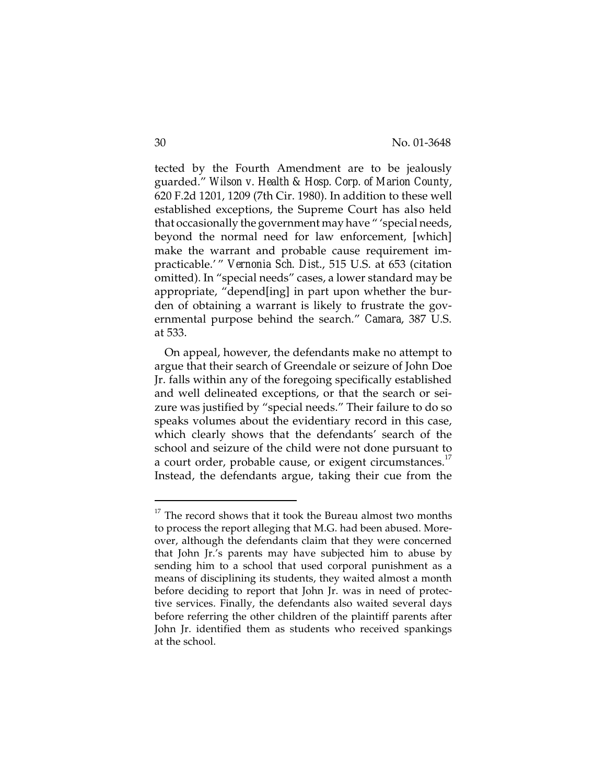tected by the Fourth Amendment are to be jealously guarded." *Wilson v. Health & Hosp. Corp. of Marion County*, 620 F.2d 1201, 1209 (7th Cir. 1980). In addition to these well established exceptions, the Supreme Court has also held that occasionally the government may have " 'special needs, beyond the normal need for law enforcement, [which] make the warrant and probable cause requirement impracticable.' " *Vernonia Sch. Dist.*, 515 U.S. at 653 (citation omitted). In "special needs" cases, a lower standard may be appropriate, "depend[ing] in part upon whether the burden of obtaining a warrant is likely to frustrate the governmental purpose behind the search." *Camara*, 387 U.S. at 533.

On appeal, however, the defendants make no attempt to argue that their search of Greendale or seizure of John Doe Jr. falls within any of the foregoing specifically established and well delineated exceptions, or that the search or seizure was justified by "special needs." Their failure to do so speaks volumes about the evidentiary record in this case, which clearly shows that the defendants' search of the school and seizure of the child were not done pursuant to a court order, probable cause, or exigent circumstances.<sup>17</sup> Instead, the defendants argue, taking their cue from the

 $^\mathrm{17}$  The record shows that it took the Bureau almost two months to process the report alleging that M.G. had been abused. Moreover, although the defendants claim that they were concerned that John Jr.'s parents may have subjected him to abuse by sending him to a school that used corporal punishment as a means of disciplining its students, they waited almost a month before deciding to report that John Jr. was in need of protective services. Finally, the defendants also waited several days before referring the other children of the plaintiff parents after John Jr. identified them as students who received spankings at the school.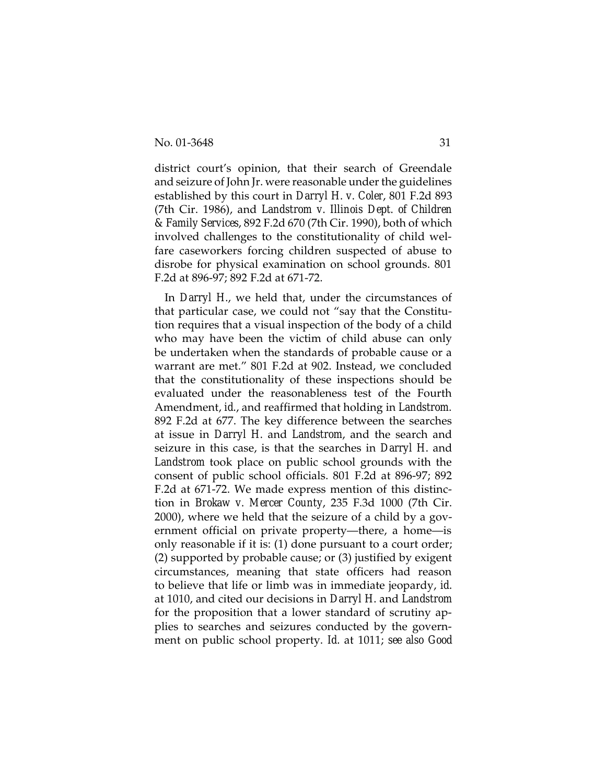district court's opinion, that their search of Greendale and seizure of John Jr. were reasonable under the guidelines established by this court in *Darryl H. v. Coler*, 801 F.2d 893 (7th Cir. 1986), and *Landstrom v. Illinois Dept. of Children & Family Services*, 892 F.2d 670 (7th Cir. 1990), both of which involved challenges to the constitutionality of child welfare caseworkers forcing children suspected of abuse to disrobe for physical examination on school grounds. 801 F.2d at 896-97; 892 F.2d at 671-72.

In *Darryl H.*, we held that, under the circumstances of that particular case, we could not "say that the Constitution requires that a visual inspection of the body of a child who may have been the victim of child abuse can only be undertaken when the standards of probable cause or a warrant are met." 801 F.2d at 902. Instead, we concluded that the constitutionality of these inspections should be evaluated under the reasonableness test of the Fourth Amendment, *id.*, and reaffirmed that holding in *Landstrom*. 892 F.2d at 677. The key difference between the searches at issue in *Darryl H.* and *Landstrom*, and the search and seizure in this case, is that the searches in *Darryl H.* and *Landstrom* took place on public school grounds with the consent of public school officials. 801 F.2d at 896-97; 892 F.2d at 671-72. We made express mention of this distinction in *Brokaw v. Mercer County*, 235 F.3d 1000 (7th Cir. 2000), where we held that the seizure of a child by a government official on private property—there, a home—is only reasonable if it is: (1) done pursuant to a court order; (2) supported by probable cause; or (3) justified by exigent circumstances, meaning that state officers had reason to believe that life or limb was in immediate jeopardy, *id.* at 1010, and cited our decisions in *Darryl H.* and *Landstrom* for the proposition that a lower standard of scrutiny applies to searches and seizures conducted by the government on public school property. *Id.* at 1011; *see also Good*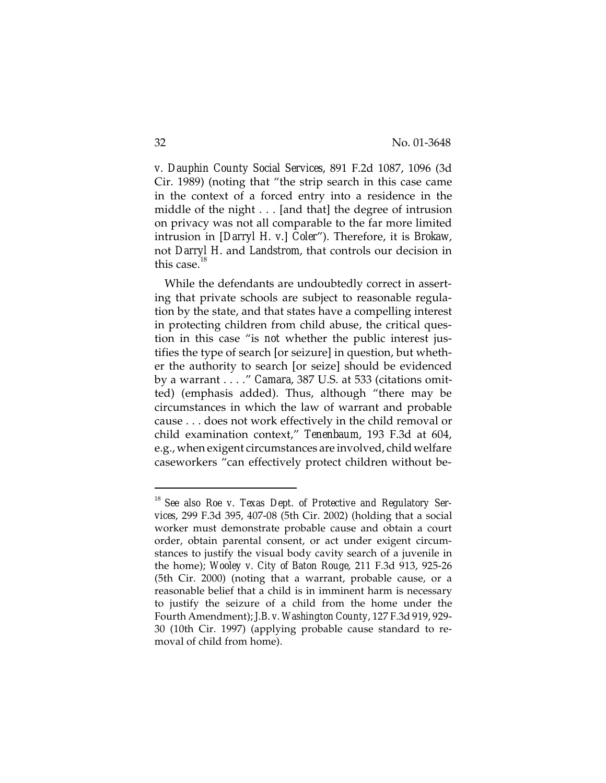*v. Dauphin County Social Services*, 891 F.2d 1087, 1096 (3d Cir. 1989) (noting that "the strip search in this case came in the context of a forced entry into a residence in the middle of the night . . . [and that] the degree of intrusion on privacy was not all comparable to the far more limited intrusion in [*Darryl H. v.*] *Coler*"). Therefore, it is *Brokaw*, not *Darryl H.* and *Landstrom*, that controls our decision in this case.<sup>18</sup>

While the defendants are undoubtedly correct in asserting that private schools are subject to reasonable regulation by the state, and that states have a compelling interest in protecting children from child abuse, the critical question in this case "is *not* whether the public interest justifies the type of search [or seizure] in question, but whether the authority to search [or seize] should be evidenced by a warrant . . . ." *Camara*, 387 U.S. at 533 (citations omitted) (emphasis added). Thus, although "there may be circumstances in which the law of warrant and probable cause . . . does not work effectively in the child removal or child examination context," *Tenenbaum*, 193 F.3d at 604, e.g., when exigent circumstances are involved, child welfare caseworkers "can effectively protect children without be-

<sup>&</sup>lt;sup>18</sup> See also Roe v. Texas Dept. of Protective and Regulatory Ser*vices*, 299 F.3d 395, 407-08 (5th Cir. 2002) (holding that a social worker must demonstrate probable cause and obtain a court order, obtain parental consent, or act under exigent circumstances to justify the visual body cavity search of a juvenile in the home); *Wooley v. City of Baton Rouge*, 211 F.3d 913, 925-26 (5th Cir. 2000) (noting that a warrant, probable cause, or a reasonable belief that a child is in imminent harm is necessary to justify the seizure of a child from the home under the Fourth Amendment); *J.B. v. Washington County*, 127 F.3d 919, 929- 30 (10th Cir. 1997) (applying probable cause standard to removal of child from home).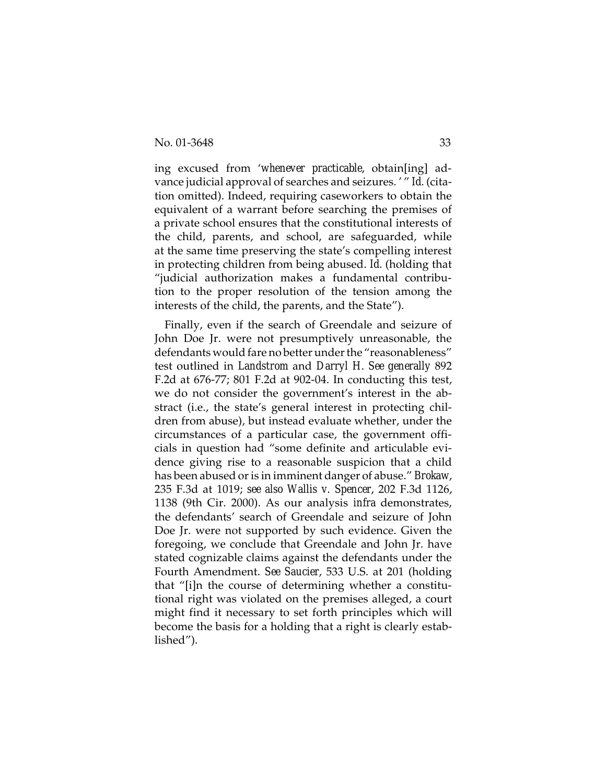ing excused from '*whenever practicable*, obtain[ing] advance judicial approval of searches and seizures. ' " *Id*. (citation omitted). Indeed, requiring caseworkers to obtain the equivalent of a warrant before searching the premises of a private school ensures that the constitutional interests of the child, parents, and school, are safeguarded, while at the same time preserving the state's compelling interest in protecting children from being abused. *Id.* (holding that "judicial authorization makes a fundamental contribution to the proper resolution of the tension among the interests of the child, the parents, and the State").

Finally, even if the search of Greendale and seizure of John Doe Jr. were not presumptively unreasonable, the defendants would fare no better under the "reasonableness" test outlined in *Landstrom* and *Darryl H. See generally* 892 F.2d at 676-77; 801 F.2d at 902-04. In conducting this test, we do not consider the government's interest in the abstract (i.e., the state's general interest in protecting children from abuse), but instead evaluate whether, under the circumstances of a particular case, the government officials in question had "some definite and articulable evidence giving rise to a reasonable suspicion that a child has been abused or is in imminent danger of abuse." *Brokaw*, 235 F.3d at 1019; *see also Wallis v. Spencer*, 202 F.3d 1126, 1138 (9th Cir. 2000). As our analysis *infra* demonstrates, the defendants' search of Greendale and seizure of John Doe Jr. were not supported by such evidence. Given the foregoing, we conclude that Greendale and John Jr. have stated cognizable claims against the defendants under the Fourth Amendment. *See Saucier*, 533 U.S. at 201 (holding that "[i]n the course of determining whether a constitutional right was violated on the premises alleged, a court might find it necessary to set forth principles which will become the basis for a holding that a right is clearly established").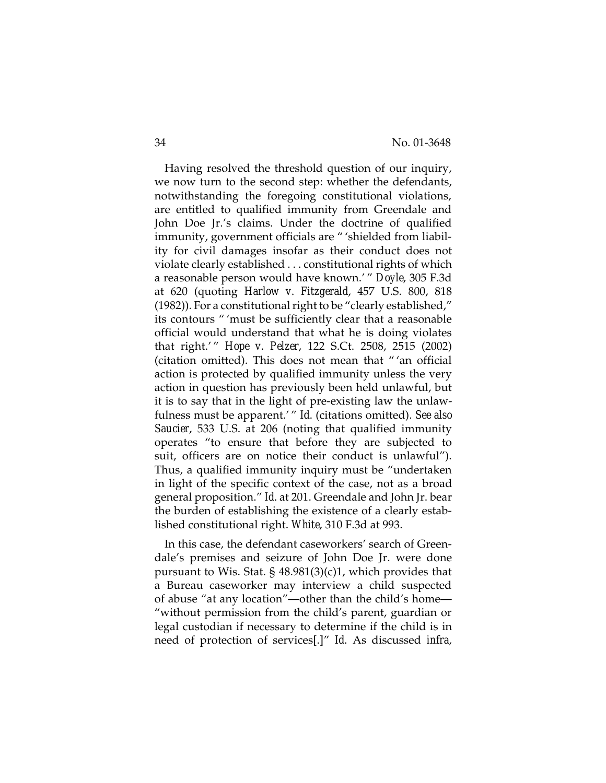Having resolved the threshold question of our inquiry, we now turn to the second step: whether the defendants, notwithstanding the foregoing constitutional violations, are entitled to qualified immunity from Greendale and John Doe Jr.'s claims. Under the doctrine of qualified immunity, government officials are " 'shielded from liability for civil damages insofar as their conduct does not violate clearly established . . . constitutional rights of which a reasonable person would have known.' " *Doyle*, 305 F.3d at 620 (quoting *Harlow v. Fitzgerald*, 457 U.S. 800, 818 (1982)). For a constitutional right to be "clearly established," its contours " 'must be sufficiently clear that a reasonable official would understand that what he is doing violates that right.' " *Hope v. Pelzer*, 122 S.Ct. 2508, 2515 (2002) (citation omitted). This does not mean that " 'an official action is protected by qualified immunity unless the very action in question has previously been held unlawful, but it is to say that in the light of pre-existing law the unlawfulness must be apparent.' " *Id.* (citations omitted). *See also Saucier*, 533 U.S. at 206 (noting that qualified immunity operates "to ensure that before they are subjected to suit, officers are on notice their conduct is unlawful"). Thus, a qualified immunity inquiry must be "undertaken in light of the specific context of the case, not as a broad general proposition." *Id.* at 201. Greendale and John Jr. bear the burden of establishing the existence of a clearly established constitutional right. *White*, 310 F.3d at 993.

In this case, the defendant caseworkers' search of Greendale's premises and seizure of John Doe Jr. were done pursuant to Wis. Stat. § 48.981(3)(c)1, which provides that a Bureau caseworker may interview a child suspected of abuse "at any location"—other than the child's home— "without permission from the child's parent, guardian or legal custodian if necessary to determine if the child is in need of protection of services[.]" *Id.* As discussed *infra*,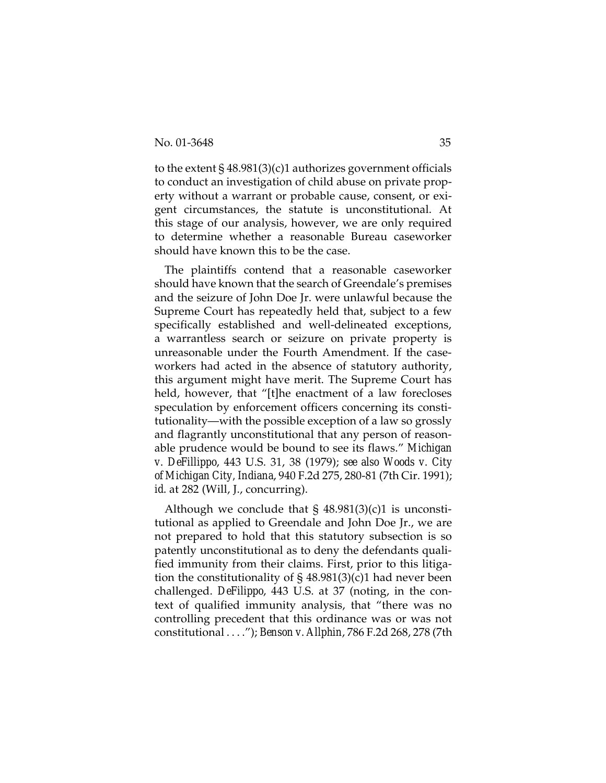to the extent § 48.981(3)(c)1 authorizes government officials to conduct an investigation of child abuse on private property without a warrant or probable cause, consent, or exigent circumstances, the statute is unconstitutional. At this stage of our analysis, however, we are only required to determine whether a reasonable Bureau caseworker should have known this to be the case.

The plaintiffs contend that a reasonable caseworker should have known that the search of Greendale's premises and the seizure of John Doe Jr. were unlawful because the Supreme Court has repeatedly held that, subject to a few specifically established and well-delineated exceptions, a warrantless search or seizure on private property is unreasonable under the Fourth Amendment. If the caseworkers had acted in the absence of statutory authority, this argument might have merit. The Supreme Court has held, however, that "[t]he enactment of a law forecloses speculation by enforcement officers concerning its constitutionality—with the possible exception of a law so grossly and flagrantly unconstitutional that any person of reasonable prudence would be bound to see its flaws." *Michigan v. DeFillippo*, 443 U.S. 31, 38 (1979); *see also Woods v. City of Michigan City, Indiana*, 940 F.2d 275, 280-81 (7th Cir. 1991); *id.* at 282 (Will, J., concurring).

Although we conclude that  $\S$  48.981(3)(c)1 is unconstitutional as applied to Greendale and John Doe Jr., we are not prepared to hold that this statutory subsection is so patently unconstitutional as to deny the defendants qualified immunity from their claims. First, prior to this litigation the constitutionality of § 48.981(3)(c)1 had never been challenged. *DeFilippo*, 443 U.S. at 37 (noting, in the context of qualified immunity analysis, that "there was no controlling precedent that this ordinance was or was not constitutional . . . ."); *Benson v. Allphin*, 786 F.2d 268, 278 (7th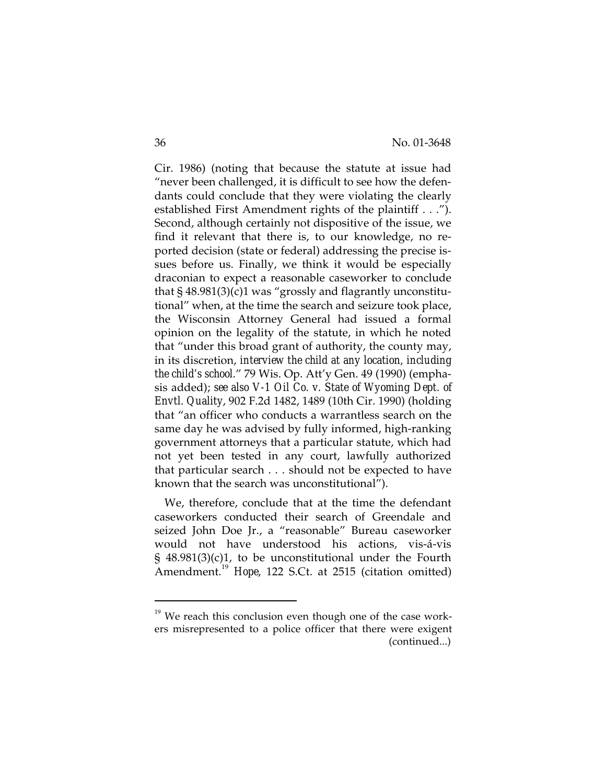Cir. 1986) (noting that because the statute at issue had "never been challenged, it is difficult to see how the defendants could conclude that they were violating the clearly established First Amendment rights of the plaintiff . . ."). Second, although certainly not dispositive of the issue, we find it relevant that there is, to our knowledge, no reported decision (state or federal) addressing the precise issues before us. Finally, we think it would be especially draconian to expect a reasonable caseworker to conclude that  $\S$  48.981(3)(c)1 was "grossly and flagrantly unconstitutional" when, at the time the search and seizure took place, the Wisconsin Attorney General had issued a formal opinion on the legality of the statute, in which he noted that "under this broad grant of authority, the county may, in its discretion, *interview the child at any location, including the child's school*." 79 Wis. Op. Att'y Gen. 49 (1990) (emphasis added); *see also V-1 Oil Co. v. State of Wyoming Dept. of Envtl. Quality*, 902 F.2d 1482, 1489 (10th Cir. 1990) (holding that "an officer who conducts a warrantless search on the same day he was advised by fully informed, high-ranking government attorneys that a particular statute, which had not yet been tested in any court, lawfully authorized that particular search . . . should not be expected to have known that the search was unconstitutional").

We, therefore, conclude that at the time the defendant caseworkers conducted their search of Greendale and seized John Doe Jr., a "reasonable" Bureau caseworker would not have understood his actions, vis-á-vis § 48.981(3)(c)1, to be unconstitutional under the Fourth Amendment.<sup>19</sup> *Hope*, 122 S.Ct. at 2515 (citation omitted)

 $19$  We reach this conclusion even though one of the case workers misrepresented to a police officer that there were exigent (continued...)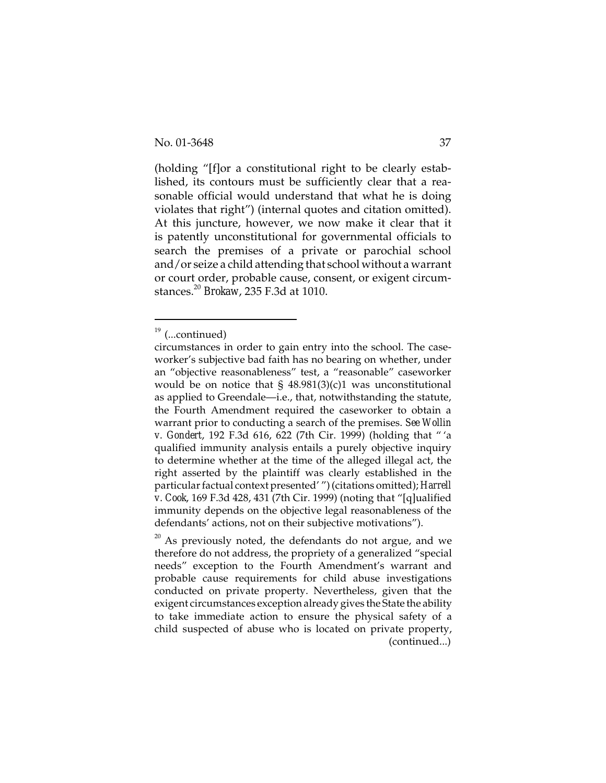(holding "[f]or a constitutional right to be clearly established, its contours must be sufficiently clear that a reasonable official would understand that what he is doing violates that right") (internal quotes and citation omitted). At this juncture, however, we now make it clear that it is patently unconstitutional for governmental officials to search the premises of a private or parochial school and/or seize a child attending that school without a warrant or court order, probable cause, consent, or exigent circumstances.<sup>20</sup> *Brokaw*, 235 F.3d at 1010.

 $19$  (...continued)

circumstances in order to gain entry into the school. The caseworker's subjective bad faith has no bearing on whether, under an "objective reasonableness" test, a "reasonable" caseworker would be on notice that  $\S$  48.981(3)(c)1 was unconstitutional as applied to Greendale—i.e., that, notwithstanding the statute, the Fourth Amendment required the caseworker to obtain a warrant prior to conducting a search of the premises. *See Wollin v. Gondert*, 192 F.3d 616, 622 (7th Cir. 1999) (holding that " 'a qualified immunity analysis entails a purely objective inquiry to determine whether at the time of the alleged illegal act, the right asserted by the plaintiff was clearly established in the particular factual context presented' ") (citations omitted); *Harrell v. Cook*, 169 F.3d 428, 431 (7th Cir. 1999) (noting that "[q]ualified immunity depends on the objective legal reasonableness of the defendants' actions, not on their subjective motivations").

 $20$  As previously noted, the defendants do not argue, and we therefore do not address, the propriety of a generalized "special needs" exception to the Fourth Amendment's warrant and probable cause requirements for child abuse investigations conducted on private property. Nevertheless, given that the exigent circumstances exception already gives the State the ability to take immediate action to ensure the physical safety of a child suspected of abuse who is located on private property, (continued...)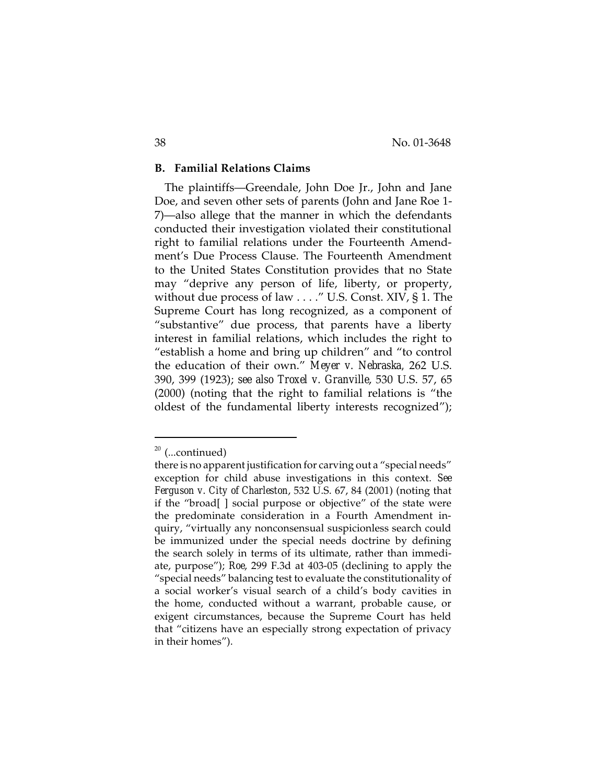## **B. Familial Relations Claims**

The plaintiffs—Greendale, John Doe Jr., John and Jane Doe, and seven other sets of parents (John and Jane Roe 1- 7)—also allege that the manner in which the defendants conducted their investigation violated their constitutional right to familial relations under the Fourteenth Amendment's Due Process Clause. The Fourteenth Amendment to the United States Constitution provides that no State may "deprive any person of life, liberty, or property, without due process of law . . . ." U.S. Const. XIV, § 1. The Supreme Court has long recognized, as a component of "substantive" due process, that parents have a liberty interest in familial relations, which includes the right to "establish a home and bring up children" and "to control the education of their own." *Meyer v. Nebraska,* 262 U.S. 390, 399 (1923); *see also Troxel v. Granville*, 530 U.S. 57, 65 (2000) (noting that the right to familial relations is "the oldest of the fundamental liberty interests recognized");

 $20$  (...continued)

there is no apparent justification for carving out a "special needs" exception for child abuse investigations in this context. *See Ferguson v. City of Charleston*, 532 U.S. 67, 84 (2001) (noting that if the "broad[ ] social purpose or objective" of the state were the predominate consideration in a Fourth Amendment inquiry, "virtually any nonconsensual suspicionless search could be immunized under the special needs doctrine by defining the search solely in terms of its ultimate, rather than immediate, purpose"); *Roe*, 299 F.3d at 403-05 (declining to apply the "special needs" balancing test to evaluate the constitutionality of a social worker's visual search of a child's body cavities in the home, conducted without a warrant, probable cause, or exigent circumstances, because the Supreme Court has held that "citizens have an especially strong expectation of privacy in their homes").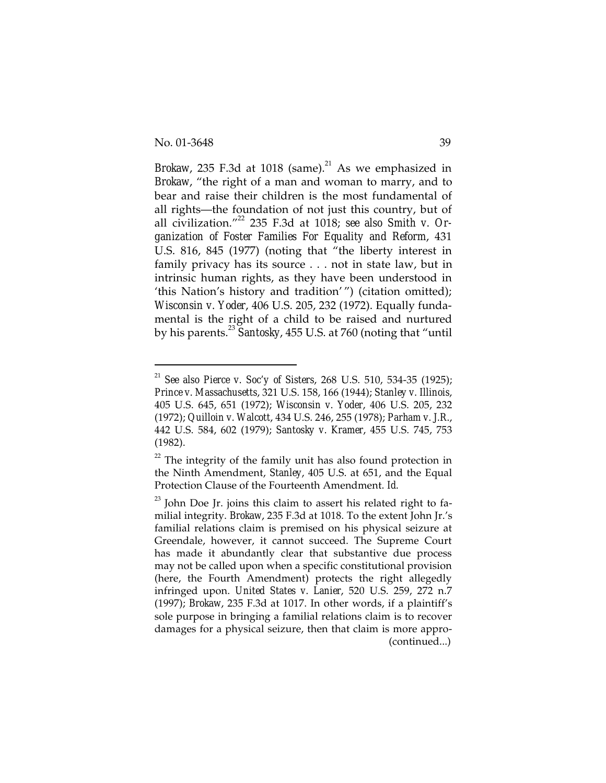*Brokaw*, 235 F.3d at 1018 (same).<sup>21</sup> As we emphasized in *Brokaw*, "the right of a man and woman to marry, and to bear and raise their children is the most fundamental of all rights—the foundation of not just this country, but of all civilization."22 235 F.3d at 1018; *see also Smith v. Organization of Foster Families For Equality and Reform*, 431 U.S. 816, 845 (1977) (noting that "the liberty interest in family privacy has its source . . . not in state law, but in intrinsic human rights, as they have been understood in 'this Nation's history and tradition' ") (citation omitted); *Wisconsin v. Yoder*, 406 U.S. 205, 232 (1972). Equally fundamental is the right of a child to be raised and nurtured by his parents.<sup>23</sup> *Santosky*, 455 U.S. at 760 (noting that "until

<sup>21</sup> *See also Pierce v. Soc'y of Sisters*, 268 U.S. 510, 534-35 (1925); *Prince v. Massachusetts*, 321 U.S. 158, 166 (1944); *Stanley v. Illinois*, 405 U.S. 645, 651 (1972); *Wisconsin v. Yoder*, 406 U.S. 205, 232 (1972); *Quilloin v. Walcott*, 434 U.S. 246, 255 (1978); *Parham v. J.R.*, 442 U.S. 584, 602 (1979); *Santosky v. Kramer*, 455 U.S. 745, 753 (1982).

 $22$  The integrity of the family unit has also found protection in the Ninth Amendment, *Stanley*, 405 U.S. at 651, and the Equal Protection Clause of the Fourteenth Amendment. *Id.*

 $^{23}$  John Doe Jr. joins this claim to assert his related right to familial integrity. *Brokaw*, 235 F.3d at 1018. To the extent John Jr.'s familial relations claim is premised on his physical seizure at Greendale, however, it cannot succeed. The Supreme Court has made it abundantly clear that substantive due process may not be called upon when a specific constitutional provision (here, the Fourth Amendment) protects the right allegedly infringed upon. *United States v. Lanier*, 520 U.S. 259, 272 n.7 (1997); *Brokaw*, 235 F.3d at 1017. In other words, if a plaintiff's sole purpose in bringing a familial relations claim is to recover damages for a physical seizure, then that claim is more appro- (continued...)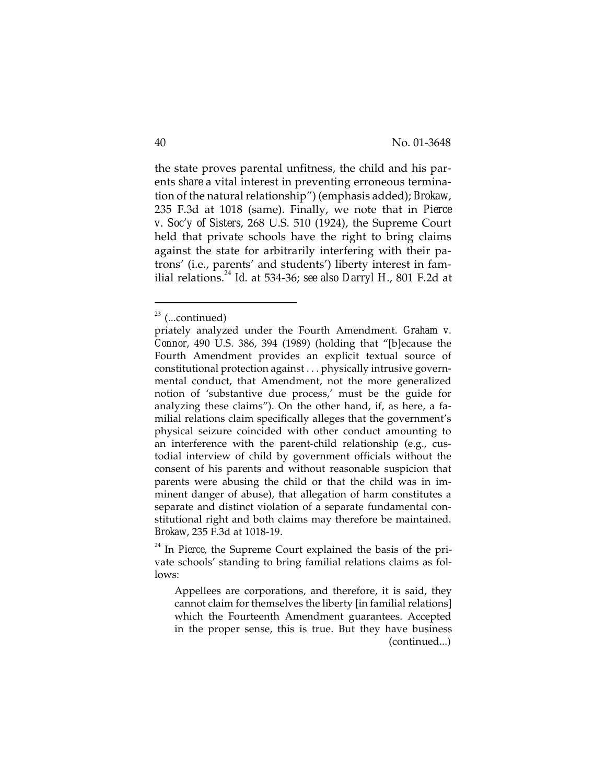the state proves parental unfitness, the child and his parents *share* a vital interest in preventing erroneous termination of the natural relationship") (emphasis added); *Brokaw*, 235 F.3d at 1018 (same). Finally, we note that in *Pierce v. Soc'y of Sisters*, 268 U.S. 510 (1924), the Supreme Court held that private schools have the right to bring claims against the state for arbitrarily interfering with their patrons' (i.e., parents' and students') liberty interest in familial relations.<sup>24</sup> *Id.* at 534-36; *see also Darryl H.*, 801 F.2d at

 $23$  (...continued)

priately analyzed under the Fourth Amendment. *Graham v. Connor*, 490 U.S. 386, 394 (1989) (holding that "[b]ecause the Fourth Amendment provides an explicit textual source of constitutional protection against . . . physically intrusive governmental conduct, that Amendment, not the more generalized notion of 'substantive due process,' must be the guide for analyzing these claims"). On the other hand, if, as here, a familial relations claim specifically alleges that the government's physical seizure coincided with other conduct amounting to an interference with the parent-child relationship (e.g., custodial interview of child by government officials without the consent of his parents and without reasonable suspicion that parents were abusing the child or that the child was in imminent danger of abuse), that allegation of harm constitutes a separate and distinct violation of a separate fundamental constitutional right and both claims may therefore be maintained. *Brokaw*, 235 F.3d at 1018-19.

<sup>&</sup>lt;sup>24</sup> In *Pierce*, the Supreme Court explained the basis of the private schools' standing to bring familial relations claims as follows:

Appellees are corporations, and therefore, it is said, they cannot claim for themselves the liberty [in familial relations] which the Fourteenth Amendment guarantees. Accepted in the proper sense, this is true. But they have business (continued...)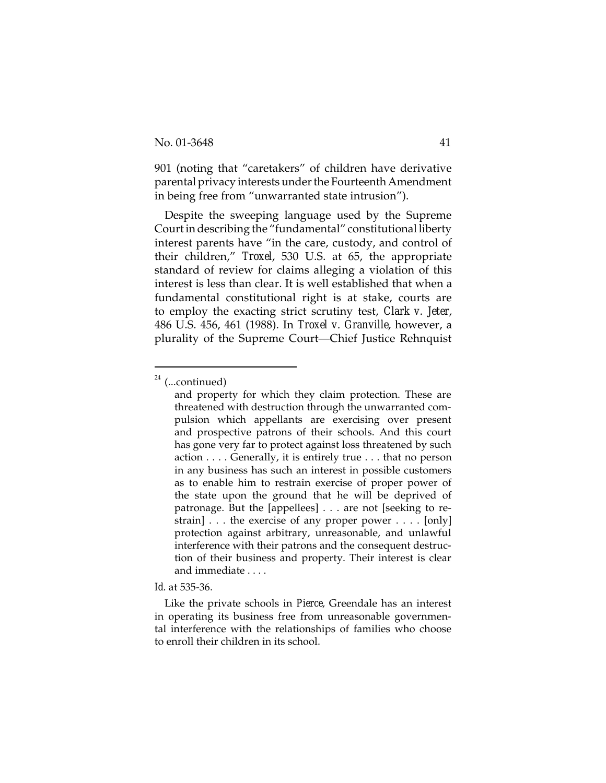901 (noting that "caretakers" of children have derivative parental privacy interests under the Fourteenth Amendment in being free from "unwarranted state intrusion").

Despite the sweeping language used by the Supreme Court in describing the "fundamental" constitutional liberty interest parents have "in the care, custody, and control of their children," *Troxel*, 530 U.S. at 65, the appropriate standard of review for claims alleging a violation of this interest is less than clear. It is well established that when a fundamental constitutional right is at stake, courts are to employ the exacting strict scrutiny test, *Clark v. Jeter*, 486 U.S. 456, 461 (1988). In *Troxel v. Granville*, however, a plurality of the Supreme Court—Chief Justice Rehnquist

#### *Id.* at 535-36.

 $24$  (...continued)

and property for which they claim protection. These are threatened with destruction through the unwarranted compulsion which appellants are exercising over present and prospective patrons of their schools. And this court has gone very far to protect against loss threatened by such action . . . . Generally, it is entirely true . . . that no person in any business has such an interest in possible customers as to enable him to restrain exercise of proper power of the state upon the ground that he will be deprived of patronage. But the [appellees] . . . are not [seeking to restrain] . . . the exercise of any proper power . . . . [only] protection against arbitrary, unreasonable, and unlawful interference with their patrons and the consequent destruction of their business and property. Their interest is clear and immediate . . . .

Like the private schools in *Pierce*, Greendale has an interest in operating its business free from unreasonable governmental interference with the relationships of families who choose to enroll their children in its school.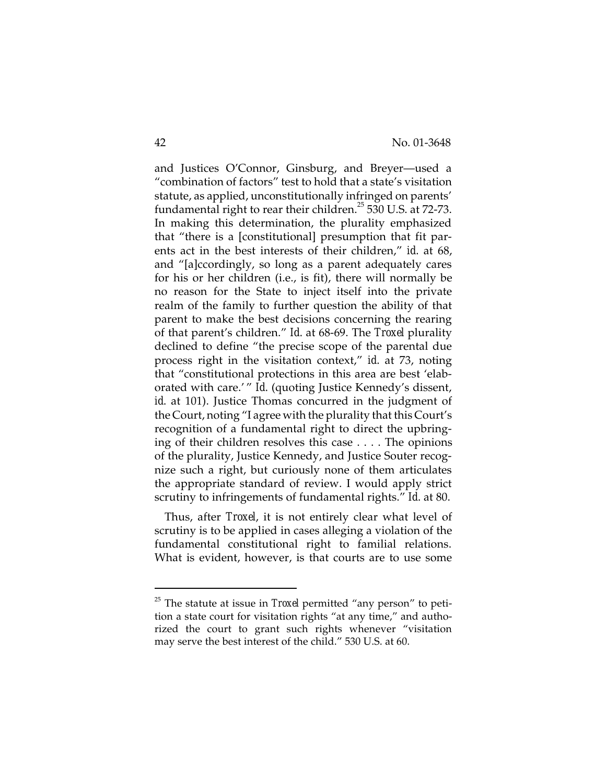and Justices O'Connor, Ginsburg, and Breyer—used a "combination of factors" test to hold that a state's visitation statute, as applied, unconstitutionally infringed on parents' fundamental right to rear their children.<sup>25</sup> 530 U.S. at 72-73. In making this determination, the plurality emphasized that "there is a [constitutional] presumption that fit parents act in the best interests of their children," *id.* at 68, and "[a]ccordingly, so long as a parent adequately cares for his or her children (i.e., is fit), there will normally be no reason for the State to inject itself into the private realm of the family to further question the ability of that parent to make the best decisions concerning the rearing of that parent's children." *Id.* at 68-69. The *Troxel* plurality declined to define "the precise scope of the parental due process right in the visitation context," *id.* at 73, noting that "constitutional protections in this area are best 'elaborated with care.' " *Id.* (quoting Justice Kennedy's dissent, *id.* at 101). Justice Thomas concurred in the judgment of the Court, noting "I agree with the plurality that this Court's recognition of a fundamental right to direct the upbringing of their children resolves this case . . . . The opinions of the plurality, Justice Kennedy, and Justice Souter recognize such a right, but curiously none of them articulates the appropriate standard of review. I would apply strict scrutiny to infringements of fundamental rights." *Id.* at 80.

Thus, after *Troxel*, it is not entirely clear what level of scrutiny is to be applied in cases alleging a violation of the fundamental constitutional right to familial relations. What is evident, however, is that courts are to use some

<sup>&</sup>lt;sup>25</sup> The statute at issue in *Troxel* permitted "any person" to petition a state court for visitation rights "at any time," and authorized the court to grant such rights whenever "visitation may serve the best interest of the child." 530 U.S. at 60.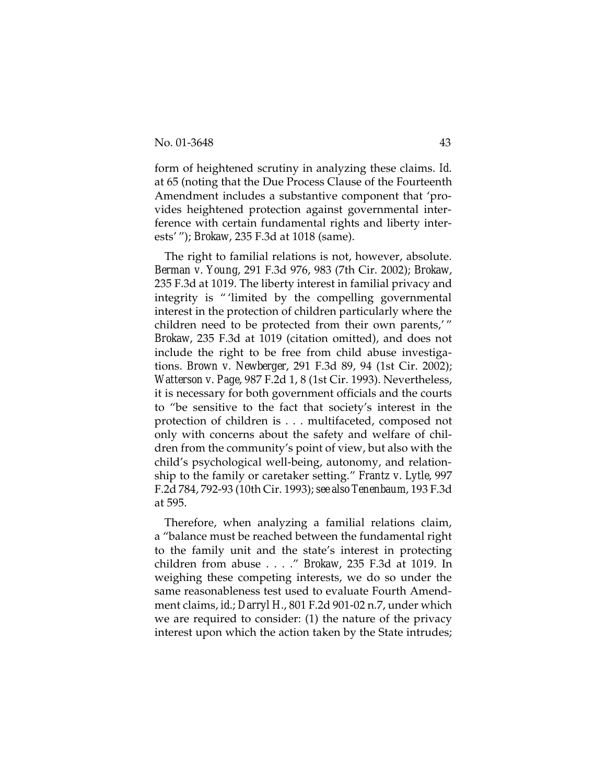form of heightened scrutiny in analyzing these claims. *Id.* at 65 (noting that the Due Process Clause of the Fourteenth Amendment includes a substantive component that 'provides heightened protection against governmental interference with certain fundamental rights and liberty interests' "); *Brokaw*, 235 F.3d at 1018 (same).

The right to familial relations is not, however, absolute. *Berman v. Young*, 291 F.3d 976, 983 (7th Cir. 2002); *Brokaw*, 235 F.3d at 1019. The liberty interest in familial privacy and integrity is " 'limited by the compelling governmental interest in the protection of children particularly where the children need to be protected from their own parents,' " *Brokaw*, 235 F.3d at 1019 (citation omitted), and does not include the right to be free from child abuse investigations. *Brown v. Newberger*, 291 F.3d 89, 94 (1st Cir. 2002); *Watterson v. Page*, 987 F.2d 1, 8 (1st Cir. 1993). Nevertheless, it is necessary for both government officials and the courts to "be sensitive to the fact that society's interest in the protection of children is . . . multifaceted, composed not only with concerns about the safety and welfare of children from the community's point of view, but also with the child's psychological well-being, autonomy, and relationship to the family or caretaker setting." *Frantz v. Lytle*, 997 F.2d 784, 792-93 (10th Cir. 1993); *see also Tenenbaum*, 193 F.3d at 595.

Therefore, when analyzing a familial relations claim, a "balance must be reached between the fundamental right to the family unit and the state's interest in protecting children from abuse . . . ." *Brokaw*, 235 F.3d at 1019. In weighing these competing interests, we do so under the same reasonableness test used to evaluate Fourth Amendment claims, *id.*; *Darryl H.*, 801 F.2d 901-02 n.7, under which we are required to consider: (1) the nature of the privacy interest upon which the action taken by the State intrudes;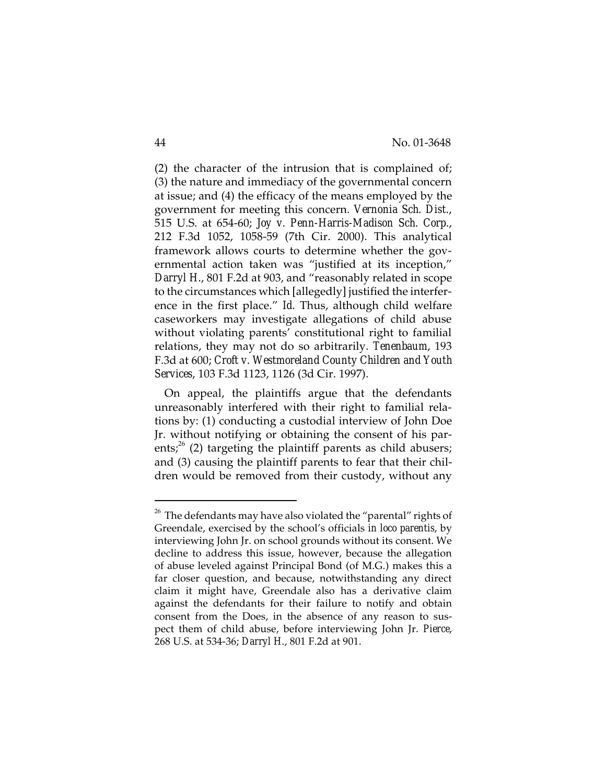(2) the character of the intrusion that is complained of; (3) the nature and immediacy of the governmental concern at issue; and (4) the efficacy of the means employed by the government for meeting this concern. *Vernonia Sch. Dist.*, 515 U.S. at 654-60; *Joy v. Penn-Harris-Madison Sch. Corp.*, 212 F.3d 1052, 1058-59 (7th Cir. 2000). This analytical framework allows courts to determine whether the governmental action taken was "justified at its inception," *Darryl H.*, 801 F.2d at 903, and "reasonably related in scope to the circumstances which [allegedly] justified the interference in the first place." *Id.* Thus, although child welfare caseworkers may investigate allegations of child abuse without violating parents' constitutional right to familial relations, they may not do so arbitrarily. *Tenenbaum*, 193 F.3d at 600; *Croft v. Westmoreland County Children and Youth Services*, 103 F.3d 1123, 1126 (3d Cir. 1997).

On appeal, the plaintiffs argue that the defendants unreasonably interfered with their right to familial relations by: (1) conducting a custodial interview of John Doe Jr. without notifying or obtaining the consent of his parents; $26$  (2) targeting the plaintiff parents as child abusers; and (3) causing the plaintiff parents to fear that their children would be removed from their custody, without any

 $^{26}$  The defendants may have also violated the "parental" rights of Greendale, exercised by the school's officials *in loco parentis*, by interviewing John Jr. on school grounds without its consent. We decline to address this issue, however, because the allegation of abuse leveled against Principal Bond (of M.G.) makes this a far closer question, and because, notwithstanding any direct claim it might have, Greendale also has a derivative claim against the defendants for their failure to notify and obtain consent from the Does, in the absence of any reason to suspect them of child abuse, before interviewing John Jr. *Pierce*, 268 U.S. at 534-36; *Darryl H.*, 801 F.2d at 901.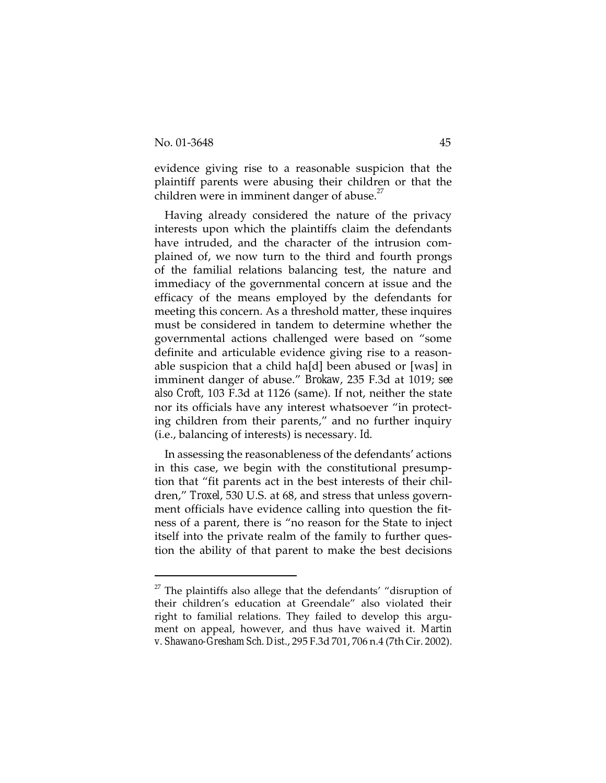evidence giving rise to a reasonable suspicion that the plaintiff parents were abusing their children or that the children were in imminent danger of abuse. $27$ 

Having already considered the nature of the privacy interests upon which the plaintiffs claim the defendants have intruded, and the character of the intrusion complained of, we now turn to the third and fourth prongs of the familial relations balancing test, the nature and immediacy of the governmental concern at issue and the efficacy of the means employed by the defendants for meeting this concern. As a threshold matter, these inquires must be considered in tandem to determine whether the governmental actions challenged were based on "some definite and articulable evidence giving rise to a reasonable suspicion that a child ha[d] been abused or [was] in imminent danger of abuse." *Brokaw*, 235 F.3d at 1019; *see also Croft*, 103 F.3d at 1126 (same). If not, neither the state nor its officials have any interest whatsoever "in protecting children from their parents," and no further inquiry (i.e., balancing of interests) is necessary. *Id.*

In assessing the reasonableness of the defendants' actions in this case, we begin with the constitutional presumption that "fit parents act in the best interests of their children," *Troxel*, 530 U.S. at 68, and stress that unless government officials have evidence calling into question the fitness of a parent, there is "no reason for the State to inject itself into the private realm of the family to further question the ability of that parent to make the best decisions

 $27$  The plaintiffs also allege that the defendants' "disruption of their children's education at Greendale" also violated their right to familial relations. They failed to develop this argument on appeal, however, and thus have waived it. *Martin v. Shawano-Gresham Sch. Dist.*, 295 F.3d 701, 706 n.4 (7th Cir. 2002).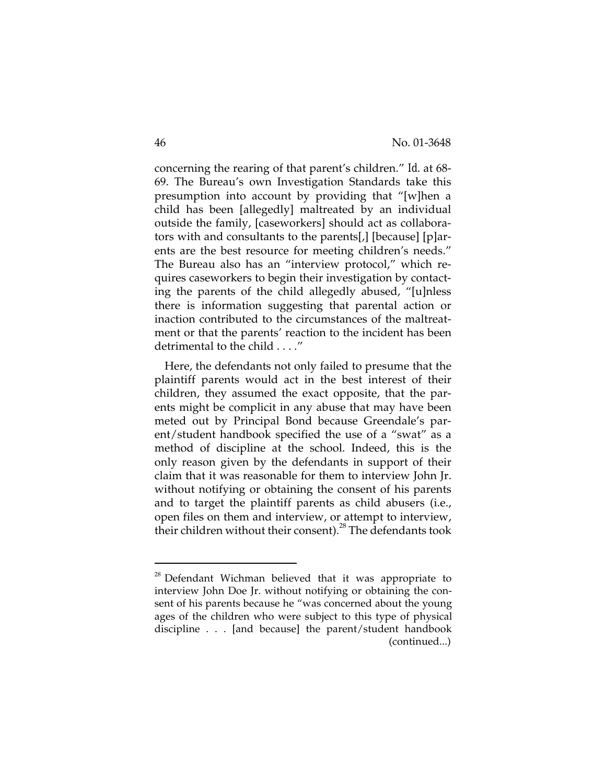concerning the rearing of that parent's children." *Id.* at 68- 69. The Bureau's own Investigation Standards take this presumption into account by providing that "[w]hen a child has been [allegedly] maltreated by an individual outside the family, [caseworkers] should act as collaborators with and consultants to the parents[,] [because] [p]arents are the best resource for meeting children's needs." The Bureau also has an "interview protocol," which requires caseworkers to begin their investigation by contacting the parents of the child allegedly abused, "[u]nless there is information suggesting that parental action or inaction contributed to the circumstances of the maltreatment or that the parents' reaction to the incident has been detrimental to the child . . . ."

Here, the defendants not only failed to presume that the plaintiff parents would act in the best interest of their children, they assumed the exact opposite, that the parents might be complicit in any abuse that may have been meted out by Principal Bond because Greendale's parent/student handbook specified the use of a "swat" as a method of discipline at the school. Indeed, this is the only reason given by the defendants in support of their claim that it was reasonable for them to interview John Jr. without notifying or obtaining the consent of his parents and to target the plaintiff parents as child abusers (i.e., open files on them and interview, or attempt to interview, their children without their consent).28 The defendants took

<sup>&</sup>lt;sup>28</sup> Defendant Wichman believed that it was appropriate to interview John Doe Jr. without notifying or obtaining the consent of his parents because he "was concerned about the young ages of the children who were subject to this type of physical discipline . . . [and because] the parent/student handbook (continued...)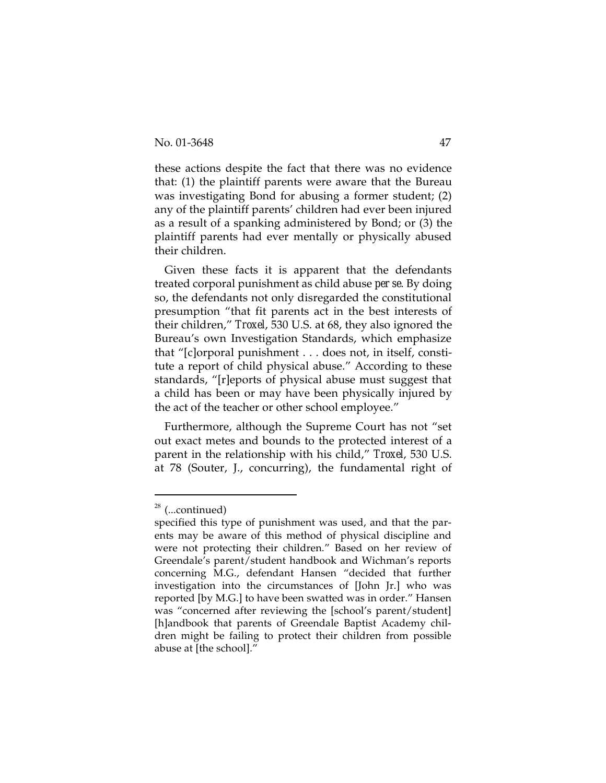these actions despite the fact that there was no evidence that: (1) the plaintiff parents were aware that the Bureau was investigating Bond for abusing a former student; (2) any of the plaintiff parents' children had ever been injured as a result of a spanking administered by Bond; or (3) the plaintiff parents had ever mentally or physically abused their children.

Given these facts it is apparent that the defendants treated corporal punishment as child abuse *per se*. By doing so, the defendants not only disregarded the constitutional presumption "that fit parents act in the best interests of their children," *Troxel*, 530 U.S. at 68, they also ignored the Bureau's own Investigation Standards, which emphasize that "[c]orporal punishment . . . does not, in itself, constitute a report of child physical abuse." According to these standards, "[r]eports of physical abuse must suggest that a child has been or may have been physically injured by the act of the teacher or other school employee."

Furthermore, although the Supreme Court has not "set out exact metes and bounds to the protected interest of a parent in the relationship with his child," *Troxel*, 530 U.S. at 78 (Souter, J., concurring), the fundamental right of

 $28$  (...continued)

specified this type of punishment was used, and that the parents may be aware of this method of physical discipline and were not protecting their children." Based on her review of Greendale's parent/student handbook and Wichman's reports concerning M.G., defendant Hansen "decided that further investigation into the circumstances of [John Jr.] who was reported [by M.G.] to have been swatted was in order." Hansen was "concerned after reviewing the [school's parent/student] [h]andbook that parents of Greendale Baptist Academy children might be failing to protect their children from possible abuse at [the school]."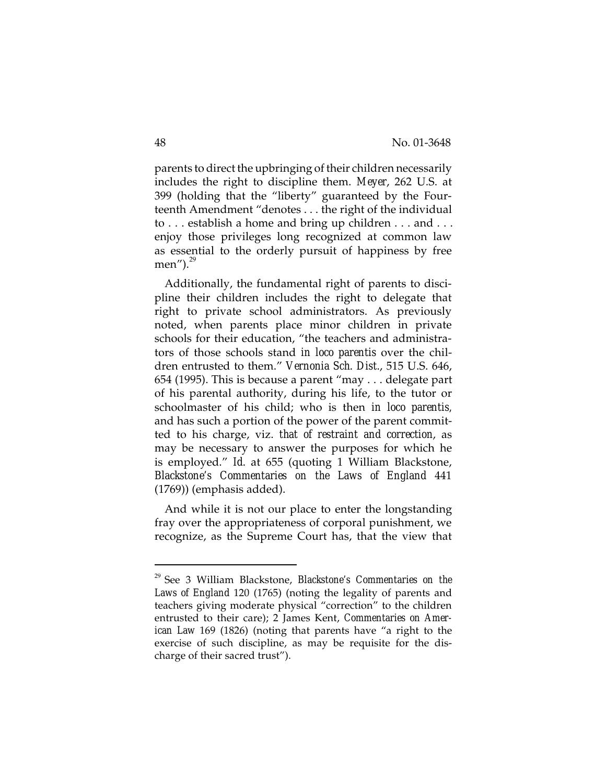parents to direct the upbringing of their children necessarily includes the right to discipline them. *Meyer*, 262 U.S. at 399 (holding that the "liberty" guaranteed by the Fourteenth Amendment "denotes . . . the right of the individual to . . . establish a home and bring up children . . . and . . . enjoy those privileges long recognized at common law as essential to the orderly pursuit of happiness by free men"). $^{29}$ 

Additionally, the fundamental right of parents to discipline their children includes the right to delegate that right to private school administrators. As previously noted, when parents place minor children in private schools for their education, "the teachers and administrators of those schools stand *in loco parentis* over the children entrusted to them." *Vernonia Sch. Dist.*, 515 U.S. 646, 654 (1995). This is because a parent "may . . . delegate part of his parental authority, during his life, to the tutor or schoolmaster of his child; who is then *in loco parentis,* and has such a portion of the power of the parent committed to his charge, viz. *that of restraint and correction*, as may be necessary to answer the purposes for which he is employed." *Id.* at 655 (quoting 1 William Blackstone, *Blackstone's Commentaries on the Laws of England* 441 (1769)) (emphasis added).

And while it is not our place to enter the longstanding fray over the appropriateness of corporal punishment, we recognize, as the Supreme Court has, that the view that

<sup>29</sup> See 3 William Blackstone, *Blackstone's Commentaries on the Laws of England* 120 (1765) (noting the legality of parents and teachers giving moderate physical "correction" to the children entrusted to their care); 2 James Kent, *Commentaries on American Law* 169 (1826) (noting that parents have "a right to the exercise of such discipline, as may be requisite for the discharge of their sacred trust").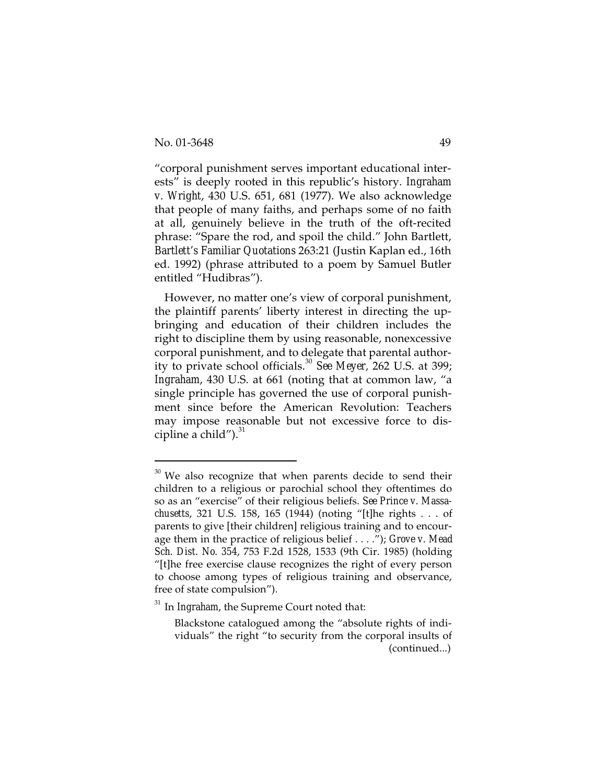"corporal punishment serves important educational interests" is deeply rooted in this republic's history. *Ingraham v. Wright*, 430 U.S. 651, 681 (1977). We also acknowledge that people of many faiths, and perhaps some of no faith at all, genuinely believe in the truth of the oft-recited phrase: "Spare the rod, and spoil the child." John Bartlett, *Bartlett's Familiar Quotations* 263:21 (Justin Kaplan ed., 16th ed. 1992) (phrase attributed to a poem by Samuel Butler entitled "Hudibras").

However, no matter one's view of corporal punishment, the plaintiff parents' liberty interest in directing the upbringing and education of their children includes the right to discipline them by using reasonable, nonexcessive corporal punishment, and to delegate that parental authority to private school officials.<sup>30</sup> *See Meyer,* 262 U.S. at 399; *Ingraham*, 430 U.S. at 661 (noting that at common law, "a single principle has governed the use of corporal punishment since before the American Revolution: Teachers may impose reasonable but not excessive force to discipline a child"). $31$ 

<sup>&</sup>lt;sup>30</sup> We also recognize that when parents decide to send their children to a religious or parochial school they oftentimes do so as an "exercise" of their religious beliefs. *See Prince v. Massachusetts*, 321 U.S. 158, 165 (1944) (noting "[t]he rights . . . of parents to give [their children] religious training and to encourage them in the practice of religious belief . . . ."); *Grove v. Mead Sch. Dist. No. 354*, 753 F.2d 1528, 1533 (9th Cir. 1985) (holding "[t]he free exercise clause recognizes the right of every person to choose among types of religious training and observance, free of state compulsion").

<sup>&</sup>lt;sup>31</sup> In *Ingraham*, the Supreme Court noted that:

Blackstone catalogued among the "absolute rights of individuals" the right "to security from the corporal insults of (continued...)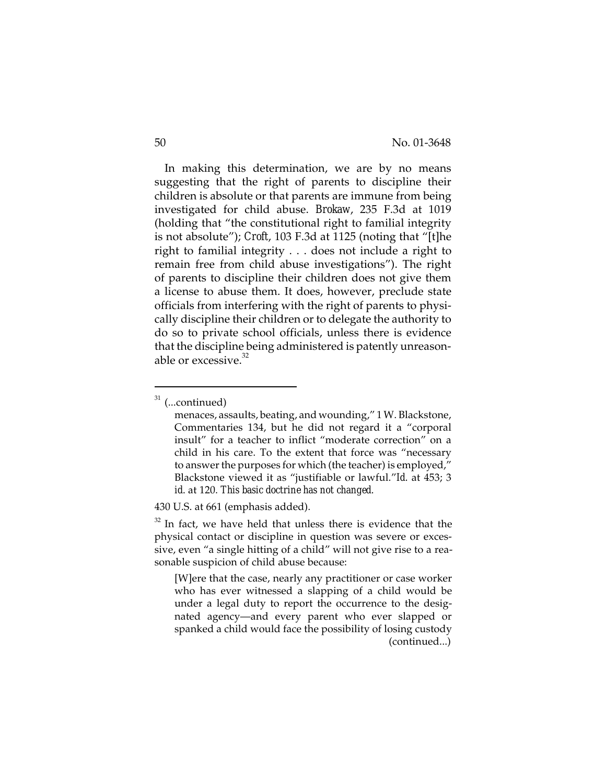In making this determination, we are by no means suggesting that the right of parents to discipline their children is absolute or that parents are immune from being investigated for child abuse. *Brokaw*, 235 F.3d at 1019 (holding that "the constitutional right to familial integrity is not absolute"); *Croft*, 103 F.3d at 1125 (noting that "[t]he right to familial integrity . . . does not include a right to remain free from child abuse investigations"). The right of parents to discipline their children does not give them a license to abuse them. It does, however, preclude state officials from interfering with the right of parents to physically discipline their children or to delegate the authority to do so to private school officials, unless there is evidence that the discipline being administered is patently unreasonable or excessive.<sup>32</sup>

430 U.S. at 661 (emphasis added).

 $32$  In fact, we have held that unless there is evidence that the physical contact or discipline in question was severe or excessive, even "a single hitting of a child" will not give rise to a reasonable suspicion of child abuse because:

[W]ere that the case, nearly any practitioner or case worker who has ever witnessed a slapping of a child would be under a legal duty to report the occurrence to the designated agency—and every parent who ever slapped or spanked a child would face the possibility of losing custody (continued...)

 $31$  (...continued)

menaces, assaults, beating, and wounding," 1 W. Blackstone, Commentaries 134, but he did not regard it a "corporal insult" for a teacher to inflict "moderate correction" on a child in his care. To the extent that force was "necessary to answer the purposes for which (the teacher) is employed," Blackstone viewed it as "justifiable or lawful."*Id.* at 453; 3 *id.* at 120. *This basic doctrine has not changed.*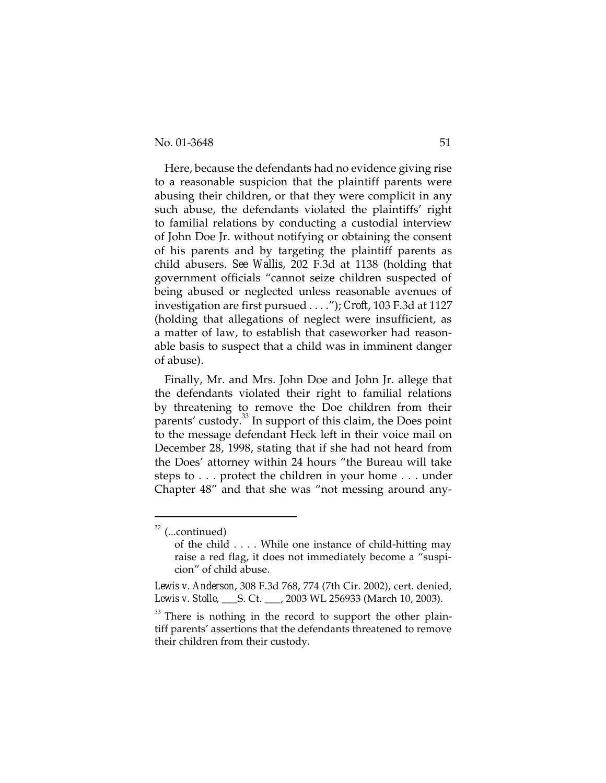Here, because the defendants had no evidence giving rise to a reasonable suspicion that the plaintiff parents were abusing their children, or that they were complicit in any such abuse, the defendants violated the plaintiffs' right to familial relations by conducting a custodial interview of John Doe Jr. without notifying or obtaining the consent of his parents and by targeting the plaintiff parents as child abusers. *See Wallis*, 202 F.3d at 1138 (holding that government officials "cannot seize children suspected of being abused or neglected unless reasonable avenues of investigation are first pursued . . . ."); *Croft*, 103 F.3d at 1127 (holding that allegations of neglect were insufficient, as a matter of law, to establish that caseworker had reasonable basis to suspect that a child was in imminent danger of abuse).

Finally, Mr. and Mrs. John Doe and John Jr. allege that the defendants violated their right to familial relations by threatening to remove the Doe children from their parents' custody.33 In support of this claim, the Does point to the message defendant Heck left in their voice mail on December 28, 1998, stating that if she had not heard from the Does' attorney within 24 hours "the Bureau will take steps to . . . protect the children in your home . . . under Chapter 48" and that she was "not messing around any-

 $32$  (...continued)

of the child . . . . While one instance of child-hitting may raise a red flag, it does not immediately become a "suspicion" of child abuse.

*Lewis v. Anderson*, 308 F.3d 768, 774 (7th Cir. 2002), cert. denied, *Lewis v. Stolle*, \_\_\_S. Ct. \_\_\_, 2003 WL 256933 (March 10, 2003).

<sup>&</sup>lt;sup>33</sup> There is nothing in the record to support the other plaintiff parents' assertions that the defendants threatened to remove their children from their custody.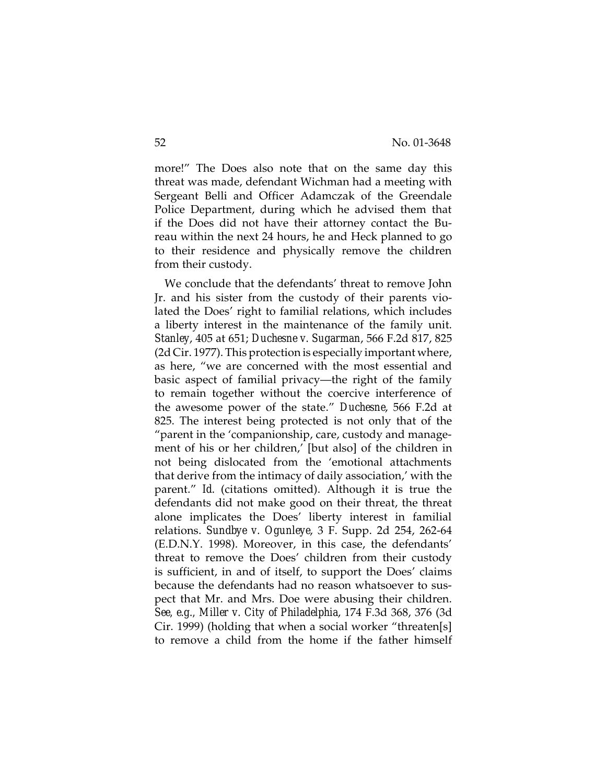more!" The Does also note that on the same day this threat was made, defendant Wichman had a meeting with Sergeant Belli and Officer Adamczak of the Greendale Police Department, during which he advised them that if the Does did not have their attorney contact the Bureau within the next 24 hours, he and Heck planned to go to their residence and physically remove the children from their custody.

We conclude that the defendants' threat to remove John Jr. and his sister from the custody of their parents violated the Does' right to familial relations, which includes a liberty interest in the maintenance of the family unit. *Stanley*, 405 at 651; *Duchesne v. Sugarman*, 566 F.2d 817, 825 (2d Cir. 1977). This protection is especially important where, as here, "we are concerned with the most essential and basic aspect of familial privacy—the right of the family to remain together without the coercive interference of the awesome power of the state." *Duchesne*, 566 F.2d at 825. The interest being protected is not only that of the "parent in the 'companionship, care, custody and management of his or her children,' [but also] of the children in not being dislocated from the 'emotional attachments that derive from the intimacy of daily association,' with the parent." *Id.* (citations omitted). Although it is true the defendants did not make good on their threat, the threat alone implicates the Does' liberty interest in familial relations. *Sundbye v. Ogunleye*, 3 F. Supp. 2d 254, 262-64 (E.D.N.Y. 1998). Moreover, in this case, the defendants' threat to remove the Does' children from their custody is sufficient, in and of itself, to support the Does' claims because the defendants had no reason whatsoever to suspect that Mr. and Mrs. Doe were abusing their children. *See, e.g., Miller v. City of Philadelphia*, 174 F.3d 368, 376 (3d Cir. 1999) (holding that when a social worker "threaten[s] to remove a child from the home if the father himself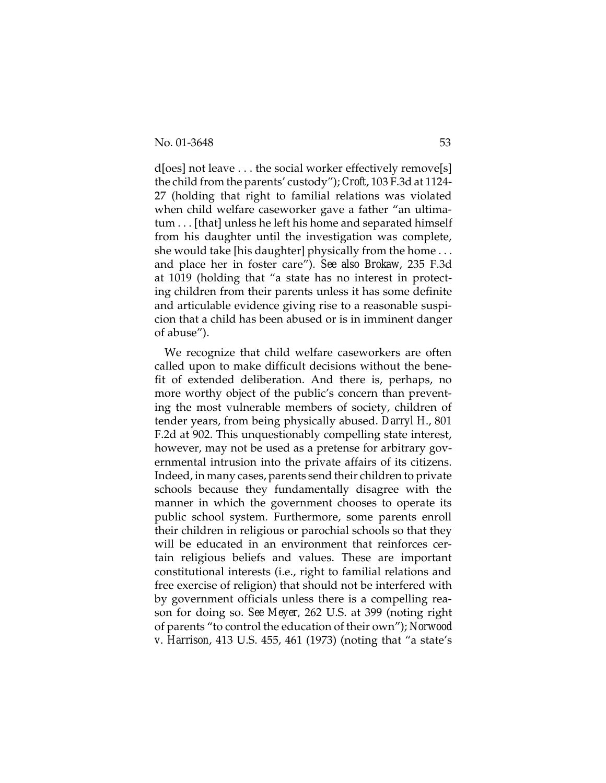d[oes] not leave . . . the social worker effectively remove[s] the child from the parents' custody"); *Croft*, 103 F.3d at 1124- 27 (holding that right to familial relations was violated when child welfare caseworker gave a father "an ultimatum . . . [that] unless he left his home and separated himself from his daughter until the investigation was complete, she would take [his daughter] physically from the home . . . and place her in foster care"). *See also Brokaw*, 235 F.3d at 1019 (holding that "a state has no interest in protecting children from their parents unless it has some definite and articulable evidence giving rise to a reasonable suspicion that a child has been abused or is in imminent danger of abuse").

We recognize that child welfare caseworkers are often called upon to make difficult decisions without the benefit of extended deliberation. And there is, perhaps, no more worthy object of the public's concern than preventing the most vulnerable members of society, children of tender years, from being physically abused. *Darryl H.*, 801 F.2d at 902. This unquestionably compelling state interest, however, may not be used as a pretense for arbitrary governmental intrusion into the private affairs of its citizens. Indeed, in many cases, parents send their children to private schools because they fundamentally disagree with the manner in which the government chooses to operate its public school system. Furthermore, some parents enroll their children in religious or parochial schools so that they will be educated in an environment that reinforces certain religious beliefs and values. These are important constitutional interests (i.e., right to familial relations and free exercise of religion) that should not be interfered with by government officials unless there is a compelling reason for doing so. *See Meyer,* 262 U.S. at 399 (noting right of parents "to control the education of their own"); *Norwood v. Harrison*, 413 U.S. 455, 461 (1973) (noting that "a state's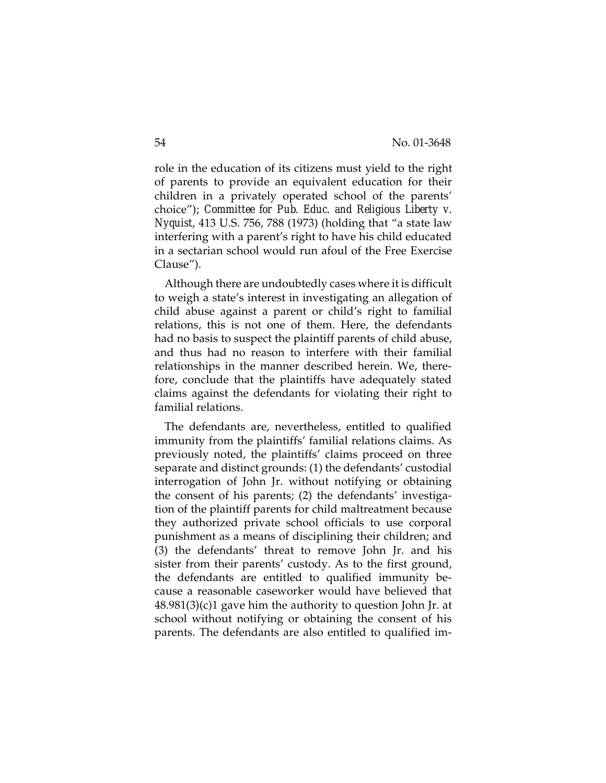role in the education of its citizens must yield to the right of parents to provide an equivalent education for their children in a privately operated school of the parents' choice"); *Committee for Pub. Educ. and Religious Liberty v. Nyquist*, 413 U.S. 756, 788 (1973) (holding that "a state law interfering with a parent's right to have his child educated in a sectarian school would run afoul of the Free Exercise Clause").

Although there are undoubtedly cases where it is difficult to weigh a state's interest in investigating an allegation of child abuse against a parent or child's right to familial relations, this is not one of them. Here, the defendants had no basis to suspect the plaintiff parents of child abuse, and thus had no reason to interfere with their familial relationships in the manner described herein. We, therefore, conclude that the plaintiffs have adequately stated claims against the defendants for violating their right to familial relations.

The defendants are, nevertheless, entitled to qualified immunity from the plaintiffs' familial relations claims. As previously noted, the plaintiffs' claims proceed on three separate and distinct grounds: (1) the defendants' custodial interrogation of John Jr. without notifying or obtaining the consent of his parents; (2) the defendants' investigation of the plaintiff parents for child maltreatment because they authorized private school officials to use corporal punishment as a means of disciplining their children; and (3) the defendants' threat to remove John Jr. and his sister from their parents' custody. As to the first ground, the defendants are entitled to qualified immunity because a reasonable caseworker would have believed that 48.981(3)(c)1 gave him the authority to question John Jr. at school without notifying or obtaining the consent of his parents. The defendants are also entitled to qualified im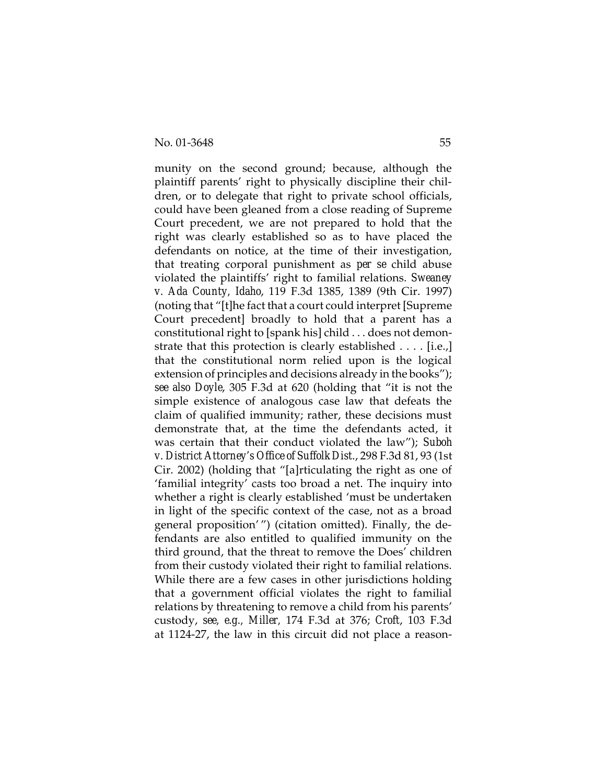munity on the second ground; because, although the plaintiff parents' right to physically discipline their children, or to delegate that right to private school officials, could have been gleaned from a close reading of Supreme Court precedent, we are not prepared to hold that the right was clearly established so as to have placed the defendants on notice, at the time of their investigation, that treating corporal punishment as *per se* child abuse violated the plaintiffs' right to familial relations. *Sweaney v. Ada County, Idaho*, 119 F.3d 1385, 1389 (9th Cir. 1997) (noting that "[t]he fact that a court could interpret [Supreme Court precedent] broadly to hold that a parent has a constitutional right to [spank his] child . . . does not demonstrate that this protection is clearly established . . . . [i.e.,] that the constitutional norm relied upon is the logical extension of principles and decisions already in the books"); *see also Doyle*, 305 F.3d at 620 (holding that "it is not the simple existence of analogous case law that defeats the claim of qualified immunity; rather, these decisions must demonstrate that, at the time the defendants acted, it was certain that their conduct violated the law"); *Suboh v. District Attorney's Office of Suffolk Dist.*, 298 F.3d 81, 93 (1st Cir. 2002) (holding that "[a]rticulating the right as one of 'familial integrity' casts too broad a net. The inquiry into whether a right is clearly established 'must be undertaken in light of the specific context of the case, not as a broad general proposition' ") (citation omitted). Finally, the defendants are also entitled to qualified immunity on the third ground, that the threat to remove the Does' children from their custody violated their right to familial relations. While there are a few cases in other jurisdictions holding that a government official violates the right to familial relations by threatening to remove a child from his parents' custody, *see, e.g., Miller,* 174 F.3d at 376; *Croft*, 103 F.3d at 1124-27, the law in this circuit did not place a reason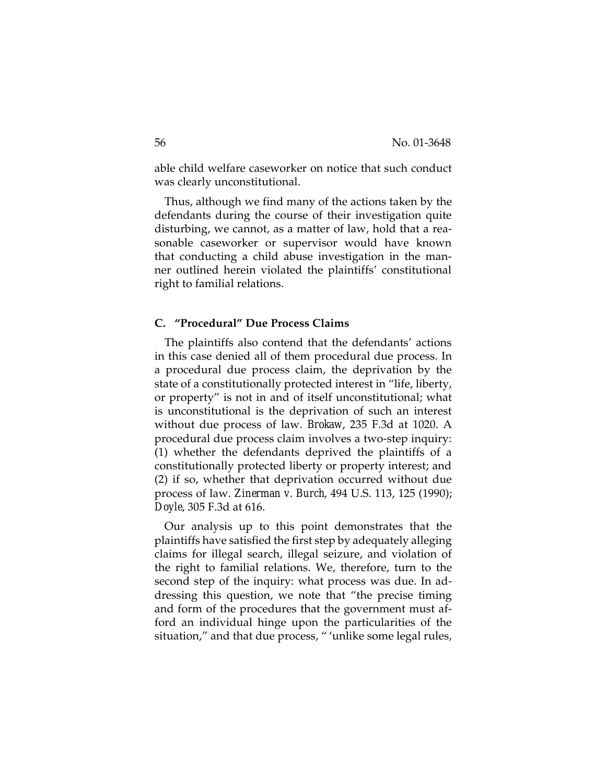able child welfare caseworker on notice that such conduct was clearly unconstitutional.

Thus, although we find many of the actions taken by the defendants during the course of their investigation quite disturbing, we cannot, as a matter of law, hold that a reasonable caseworker or supervisor would have known that conducting a child abuse investigation in the manner outlined herein violated the plaintiffs' constitutional right to familial relations.

# **C. "Procedural" Due Process Claims**

The plaintiffs also contend that the defendants' actions in this case denied all of them procedural due process. In a procedural due process claim, the deprivation by the state of a constitutionally protected interest in "life, liberty, or property" is not in and of itself unconstitutional; what is unconstitutional is the deprivation of such an interest without due process of law. *Brokaw*, 235 F.3d at 1020. A procedural due process claim involves a two-step inquiry: (1) whether the defendants deprived the plaintiffs of a constitutionally protected liberty or property interest; and (2) if so, whether that deprivation occurred without due process of law. *Zinerman v. Burch*, 494 U.S. 113, 125 (1990); *Doyle*, 305 F.3d at 616.

Our analysis up to this point demonstrates that the plaintiffs have satisfied the first step by adequately alleging claims for illegal search, illegal seizure, and violation of the right to familial relations. We, therefore, turn to the second step of the inquiry: what process was due. In addressing this question, we note that "the precise timing and form of the procedures that the government must afford an individual hinge upon the particularities of the situation," and that due process, " 'unlike some legal rules,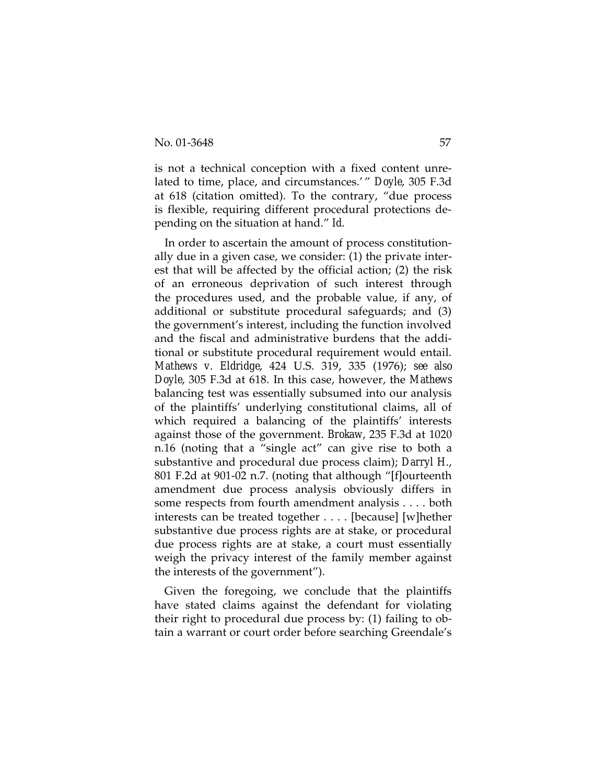is not a technical conception with a fixed content unrelated to time, place, and circumstances.' " *Doyle*, 305 F.3d at 618 (citation omitted). To the contrary, "due process is flexible, requiring different procedural protections depending on the situation at hand." *Id.*

In order to ascertain the amount of process constitutionally due in a given case, we consider: (1) the private interest that will be affected by the official action; (2) the risk of an erroneous deprivation of such interest through the procedures used, and the probable value, if any, of additional or substitute procedural safeguards; and (3) the government's interest, including the function involved and the fiscal and administrative burdens that the additional or substitute procedural requirement would entail. *Mathews v. Eldridge*, 424 U.S. 319, 335 (1976); *see also Doyle*, 305 F.3d at 618. In this case, however, the *Mathews* balancing test was essentially subsumed into our analysis of the plaintiffs' underlying constitutional claims, all of which required a balancing of the plaintiffs' interests against those of the government. *Brokaw*, 235 F.3d at 1020 n.16 (noting that a "single act" can give rise to both a substantive and procedural due process claim); *Darryl H.*, 801 F.2d at 901-02 n.7. (noting that although "[f]ourteenth amendment due process analysis obviously differs in some respects from fourth amendment analysis . . . . both interests can be treated together . . . . [because] [w]hether substantive due process rights are at stake, or procedural due process rights are at stake, a court must essentially weigh the privacy interest of the family member against the interests of the government").

Given the foregoing, we conclude that the plaintiffs have stated claims against the defendant for violating their right to procedural due process by: (1) failing to obtain a warrant or court order before searching Greendale's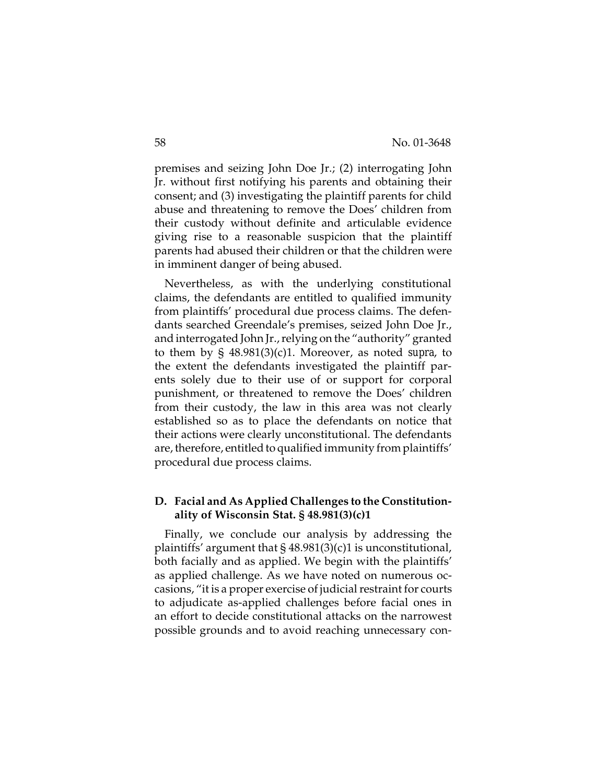premises and seizing John Doe Jr.; (2) interrogating John Jr. without first notifying his parents and obtaining their consent; and (3) investigating the plaintiff parents for child abuse and threatening to remove the Does' children from their custody without definite and articulable evidence giving rise to a reasonable suspicion that the plaintiff parents had abused their children or that the children were in imminent danger of being abused.

Nevertheless, as with the underlying constitutional claims, the defendants are entitled to qualified immunity from plaintiffs' procedural due process claims. The defendants searched Greendale's premises, seized John Doe Jr., and interrogated John Jr., relying on the "authority" granted to them by § 48.981(3)(c)1. Moreover, as noted *supra*, to the extent the defendants investigated the plaintiff parents solely due to their use of or support for corporal punishment, or threatened to remove the Does' children from their custody, the law in this area was not clearly established so as to place the defendants on notice that their actions were clearly unconstitutional. The defendants are, therefore, entitled to qualified immunity from plaintiffs' procedural due process claims.

## **D. Facial and As Applied Challenges to the Constitutionality of Wisconsin Stat. § 48.981(3)(c)1**

Finally, we conclude our analysis by addressing the plaintiffs' argument that  $\S$  48.981(3)(c)1 is unconstitutional, both facially and as applied. We begin with the plaintiffs' as applied challenge. As we have noted on numerous occasions, "it is a proper exercise of judicial restraint for courts to adjudicate as-applied challenges before facial ones in an effort to decide constitutional attacks on the narrowest possible grounds and to avoid reaching unnecessary con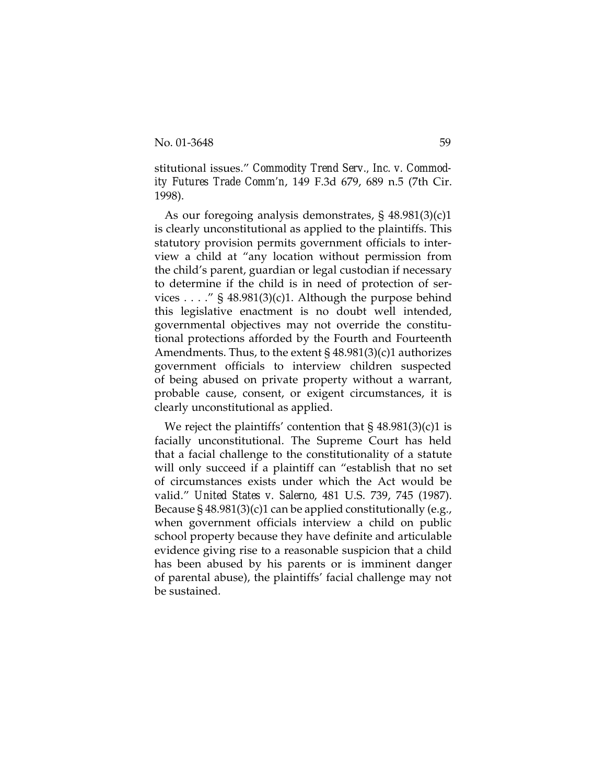stitutional issues." *Commodity Trend Serv., Inc. v. Commodity Futures Trade Comm'n*, 149 F.3d 679, 689 n.5 (7th Cir. 1998).

As our foregoing analysis demonstrates, § 48.981(3)(c)1 is clearly unconstitutional as applied to the plaintiffs. This statutory provision permits government officials to interview a child at "any location without permission from the child's parent, guardian or legal custodian if necessary to determine if the child is in need of protection of services . . . ."  $\S$  48.981(3)(c)1. Although the purpose behind this legislative enactment is no doubt well intended, governmental objectives may not override the constitutional protections afforded by the Fourth and Fourteenth Amendments. Thus, to the extent § 48.981(3)(c)1 authorizes government officials to interview children suspected of being abused on private property without a warrant, probable cause, consent, or exigent circumstances, it is clearly unconstitutional as applied.

We reject the plaintiffs' contention that  $\S$  48.981(3)(c)1 is facially unconstitutional. The Supreme Court has held that a facial challenge to the constitutionality of a statute will only succeed if a plaintiff can "establish that no set of circumstances exists under which the Act would be valid." *United States v. Salerno*, 481 U.S. 739, 745 (1987). Because  $\S 48.981(3)(c)1$  can be applied constitutionally (e.g., when government officials interview a child on public school property because they have definite and articulable evidence giving rise to a reasonable suspicion that a child has been abused by his parents or is imminent danger of parental abuse), the plaintiffs' facial challenge may not be sustained.